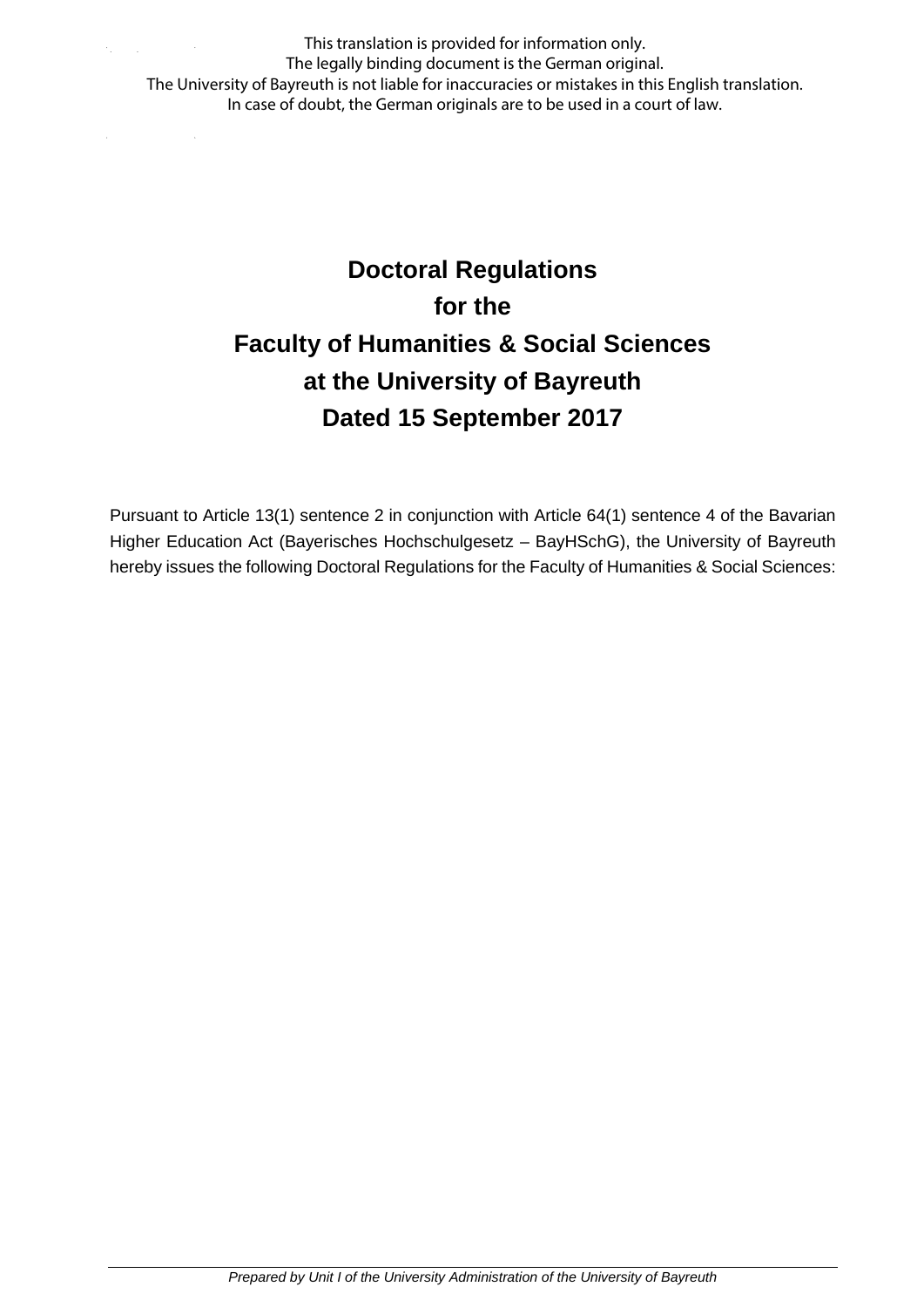This translation is provided for information only. The legally binding document is the German original. The University of Bayreuth is not liable for inaccuracies or mistakes in this English translation. In case of doubt, the German originals are to be used in a court of law.

# **Doctoral Regulations for the Faculty of Humanities & Social Sciences at the University of Bayreuth Dated 15 September 2017**

Pursuant to Article 13(1) sentence 2 in conjunction with Article 64(1) sentence 4 of the Bavarian Higher Education Act (Bayerisches Hochschulgesetz – BayHSchG), the University of Bayreuth hereby issues the following Doctoral Regulations for the Faculty of Humanities & Social Sciences: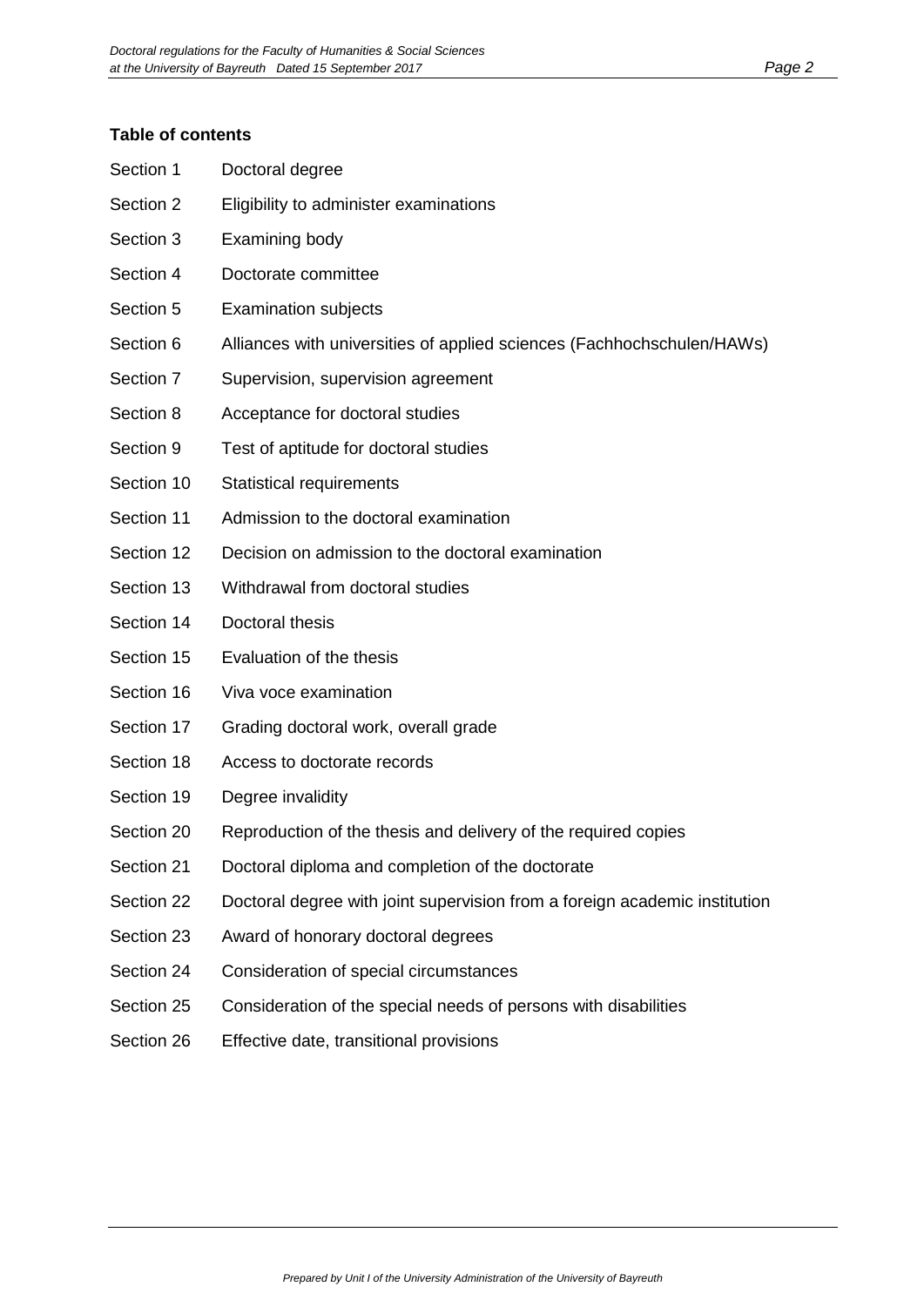#### **Table of contents**

| Section 1  | Doctoral degree                                                            |
|------------|----------------------------------------------------------------------------|
| Section 2  | Eligibility to administer examinations                                     |
| Section 3  | Examining body                                                             |
| Section 4  | Doctorate committee                                                        |
| Section 5  | <b>Examination subjects</b>                                                |
| Section 6  | Alliances with universities of applied sciences (Fachhochschulen/HAWs)     |
| Section 7  | Supervision, supervision agreement                                         |
| Section 8  | Acceptance for doctoral studies                                            |
| Section 9  | Test of aptitude for doctoral studies                                      |
| Section 10 | <b>Statistical requirements</b>                                            |
| Section 11 | Admission to the doctoral examination                                      |
| Section 12 | Decision on admission to the doctoral examination                          |
| Section 13 | Withdrawal from doctoral studies                                           |
| Section 14 | Doctoral thesis                                                            |
| Section 15 | Evaluation of the thesis                                                   |
| Section 16 | Viva voce examination                                                      |
| Section 17 | Grading doctoral work, overall grade                                       |
| Section 18 | Access to doctorate records                                                |
| Section 19 | Degree invalidity                                                          |
| Section 20 | Reproduction of the thesis and delivery of the required copies             |
| Section 21 | Doctoral diploma and completion of the doctorate                           |
| Section 22 | Doctoral degree with joint supervision from a foreign academic institution |
| Section 23 | Award of honorary doctoral degrees                                         |
| Section 24 | Consideration of special circumstances                                     |
| Section 25 | Consideration of the special needs of persons with disabilities            |
| Section 26 | Effective date, transitional provisions                                    |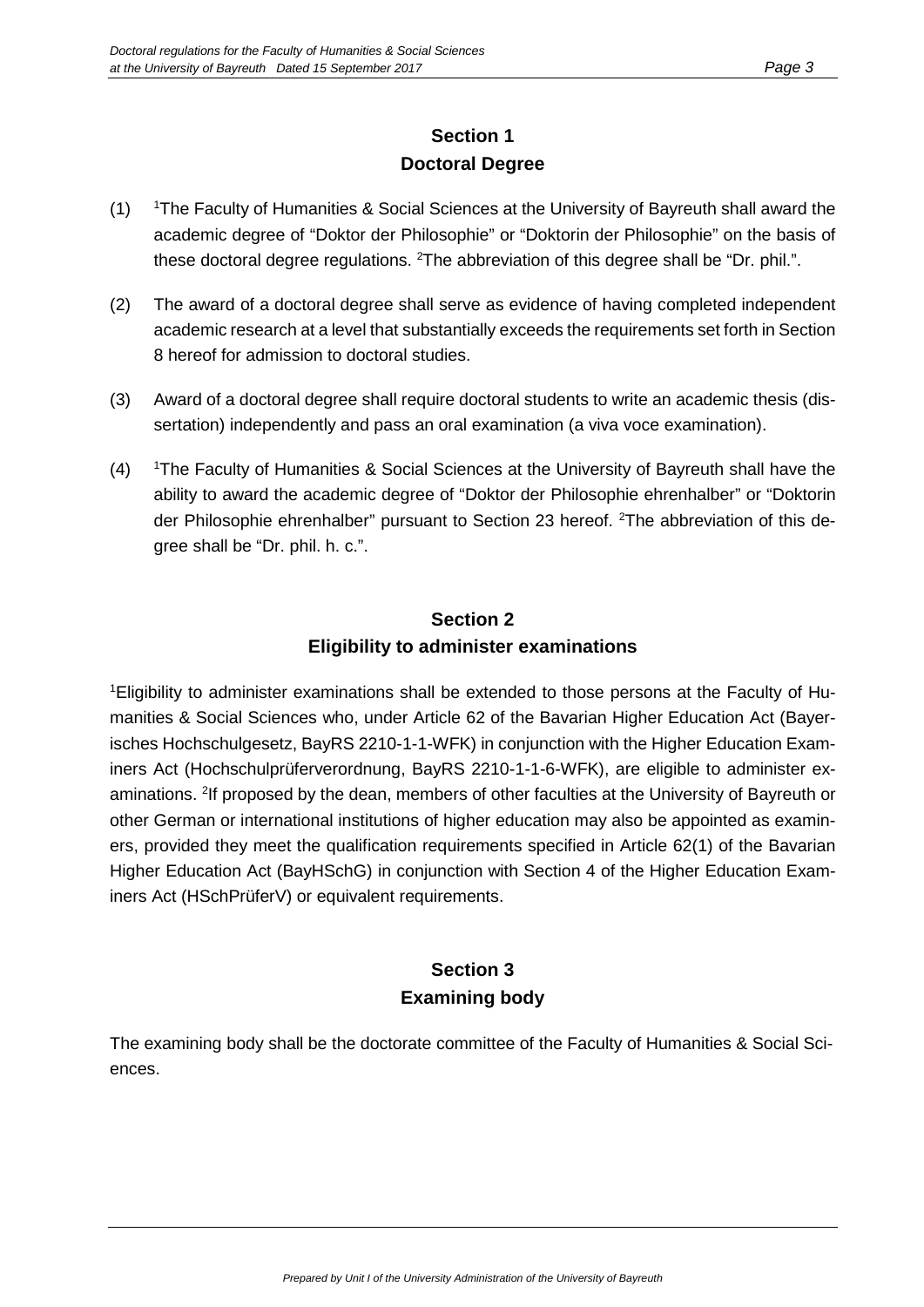## **Section 1 Doctoral Degree**

- $(1)$ The Faculty of Humanities & Social Sciences at the University of Bayreuth shall award the academic degree of "Doktor der Philosophie" or "Doktorin der Philosophie" on the basis of these doctoral degree regulations. <sup>2</sup>The abbreviation of this degree shall be "Dr. phil.".
- (2) The award of a doctoral degree shall serve as evidence of having completed independent academic research at a level that substantially exceeds the requirements set forth in Section 8 hereof for admission to doctoral studies.
- (3) Award of a doctoral degree shall require doctoral students to write an academic thesis (dissertation) independently and pass an oral examination (a viva voce examination).
- $(4)$ The Faculty of Humanities & Social Sciences at the University of Bayreuth shall have the ability to award the academic degree of "Doktor der Philosophie ehrenhalber" or "Doktorin der Philosophie ehrenhalber" pursuant to Section 23 hereof. <sup>2</sup>The abbreviation of this degree shall be "Dr. phil. h. c.".

## **Section 2 Eligibility to administer examinations**

1 Eligibility to administer examinations shall be extended to those persons at the Faculty of Humanities & Social Sciences who, under Article 62 of the Bavarian Higher Education Act (Bayerisches Hochschulgesetz, BayRS 2210-1-1-WFK) in conjunction with the Higher Education Examiners Act (Hochschulprüferverordnung, BayRS 2210-1-1-6-WFK), are eligible to administer examinations. <sup>2</sup>If proposed by the dean, members of other faculties at the University of Bayreuth or other German or international institutions of higher education may also be appointed as examiners, provided they meet the qualification requirements specified in Article 62(1) of the Bavarian Higher Education Act (BayHSchG) in conjunction with Section 4 of the Higher Education Examiners Act (HSchPrüferV) or equivalent requirements.

## **Section 3 Examining body**

The examining body shall be the doctorate committee of the Faculty of Humanities & Social Sciences.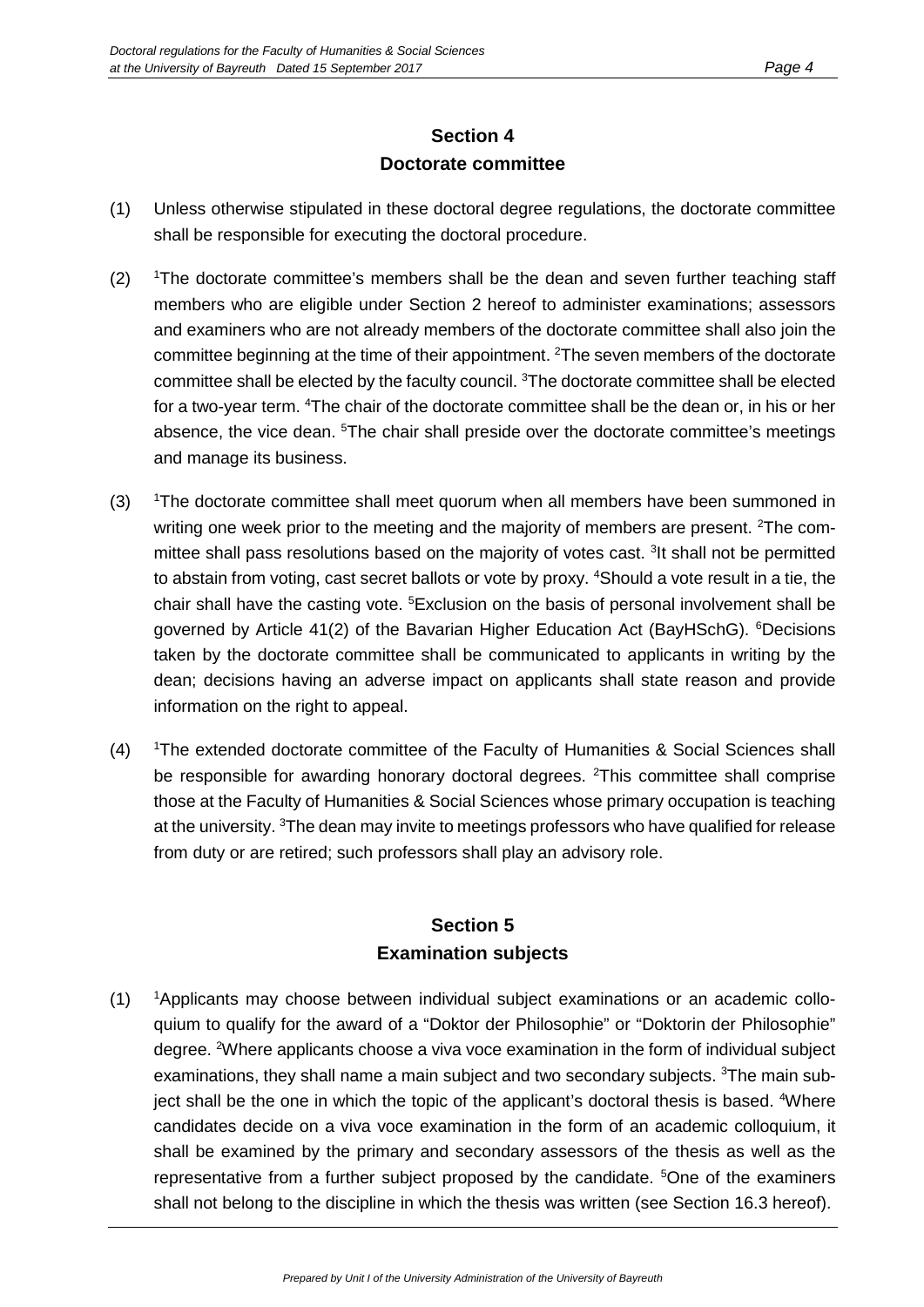#### **Section 4 Doctorate committee**

- (1) Unless otherwise stipulated in these doctoral degree regulations, the doctorate committee shall be responsible for executing the doctoral procedure.
- $(2)$ <sup>1</sup>The doctorate committee's members shall be the dean and seven further teaching staff members who are eligible under Section 2 hereof to administer examinations; assessors and examiners who are not already members of the doctorate committee shall also join the committee beginning at the time of their appointment. <sup>2</sup>The seven members of the doctorate committee shall be elected by the faculty council. <sup>3</sup>The doctorate committee shall be elected for a two-year term. <sup>4</sup>The chair of the doctorate committee shall be the dean or, in his or her absence, the vice dean. <sup>5</sup>The chair shall preside over the doctorate committee's meetings and manage its business.
- $(3)$ <sup>1</sup>The doctorate committee shall meet quorum when all members have been summoned in writing one week prior to the meeting and the majority of members are present. <sup>2</sup>The committee shall pass resolutions based on the majority of votes cast. <sup>3</sup>It shall not be permitted to abstain from voting, cast secret ballots or vote by proxy. <sup>4</sup>Should a vote result in a tie, the chair shall have the casting vote. <sup>5</sup>Exclusion on the basis of personal involvement shall be governed by Article 41(2) of the Bavarian Higher Education Act (BayHSchG). <sup>6</sup>Decisions taken by the doctorate committee shall be communicated to applicants in writing by the dean; decisions having an adverse impact on applicants shall state reason and provide information on the right to appeal.
- $(4)$ <sup>1</sup>The extended doctorate committee of the Faculty of Humanities & Social Sciences shall be responsible for awarding honorary doctoral degrees. <sup>2</sup>This committee shall comprise those at the Faculty of Humanities & Social Sciences whose primary occupation is teaching at the university. <sup>3</sup>The dean may invite to meetings professors who have qualified for release from duty or are retired; such professors shall play an advisory role.

#### **Section 5 Examination subjects**

 $(1)$ <sup>1</sup>Applicants may choose between individual subject examinations or an academic colloquium to qualify for the award of a "Doktor der Philosophie" or "Doktorin der Philosophie" degree. <sup>2</sup>Where applicants choose a viva voce examination in the form of individual subject examinations, they shall name a main subject and two secondary subjects. <sup>3</sup>The main subject shall be the one in which the topic of the applicant's doctoral thesis is based. <sup>4</sup>Where candidates decide on a viva voce examination in the form of an academic colloquium, it shall be examined by the primary and secondary assessors of the thesis as well as the representative from a further subject proposed by the candidate. <sup>5</sup>One of the examiners shall not belong to the discipline in which the thesis was written (see Section 16.3 hereof).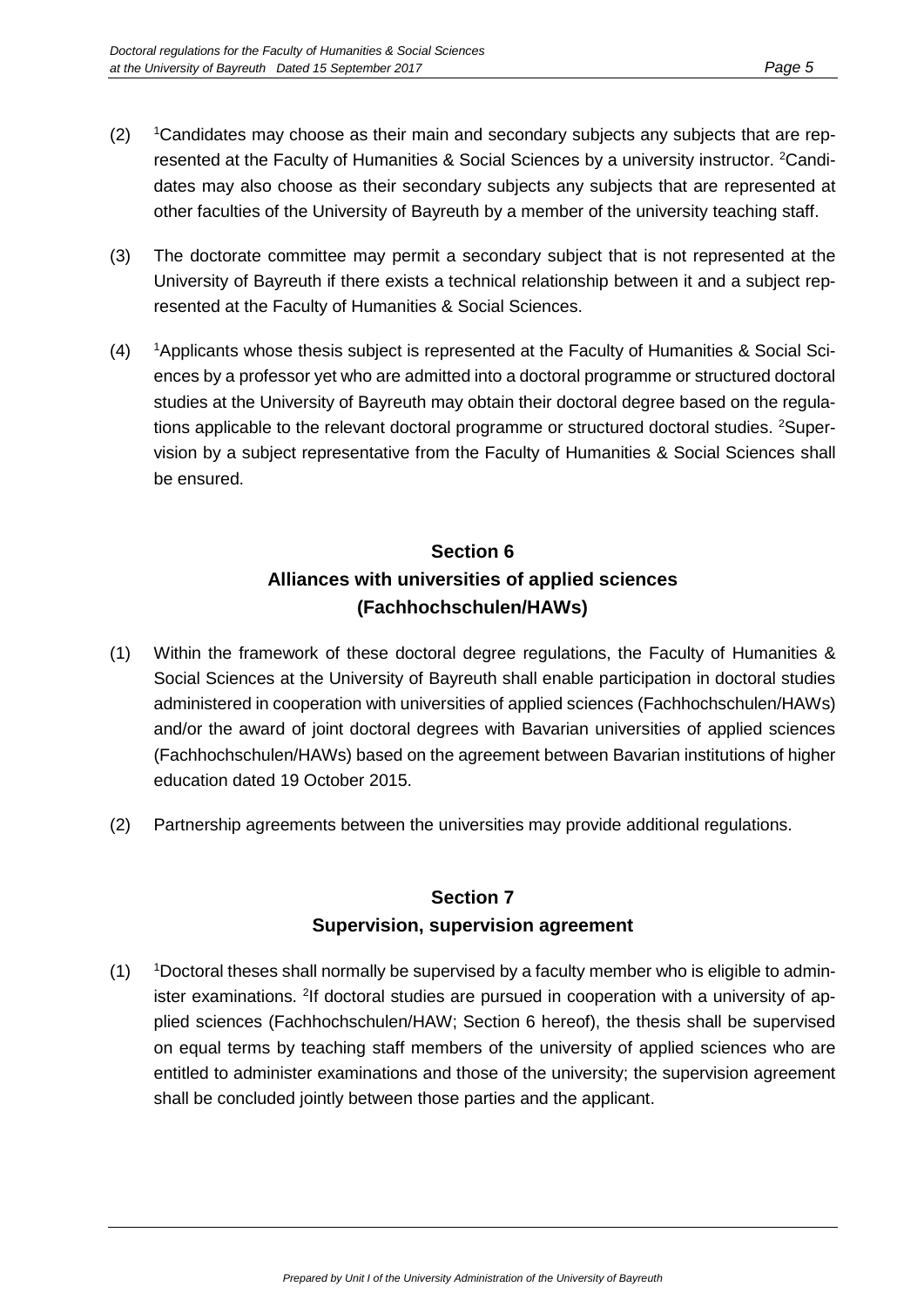- $(2)$ Candidates may choose as their main and secondary subjects any subjects that are represented at the Faculty of Humanities & Social Sciences by a university instructor. <sup>2</sup>Candidates may also choose as their secondary subjects any subjects that are represented at other faculties of the University of Bayreuth by a member of the university teaching staff.
- (3) The doctorate committee may permit a secondary subject that is not represented at the University of Bayreuth if there exists a technical relationship between it and a subject represented at the Faculty of Humanities & Social Sciences.
- $(4)$ <sup>1</sup>Applicants whose thesis subject is represented at the Faculty of Humanities & Social Sciences by a professor yet who are admitted into a doctoral programme or structured doctoral studies at the University of Bayreuth may obtain their doctoral degree based on the regulations applicable to the relevant doctoral programme or structured doctoral studies. <sup>2</sup>Supervision by a subject representative from the Faculty of Humanities & Social Sciences shall be ensured.

# **Section 6 Alliances with universities of applied sciences (Fachhochschulen/HAWs)**

- (1) Within the framework of these doctoral degree regulations, the Faculty of Humanities & Social Sciences at the University of Bayreuth shall enable participation in doctoral studies administered in cooperation with universities of applied sciences (Fachhochschulen/HAWs) and/or the award of joint doctoral degrees with Bavarian universities of applied sciences (Fachhochschulen/HAWs) based on the agreement between Bavarian institutions of higher education dated 19 October 2015.
- (2) Partnership agreements between the universities may provide additional regulations.

## **Section 7 Supervision, supervision agreement**

 $(1)$ Doctoral theses shall normally be supervised by a faculty member who is eligible to administer examinations. <sup>2</sup>If doctoral studies are pursued in cooperation with a university of applied sciences (Fachhochschulen/HAW; Section 6 hereof), the thesis shall be supervised on equal terms by teaching staff members of the university of applied sciences who are entitled to administer examinations and those of the university; the supervision agreement shall be concluded jointly between those parties and the applicant.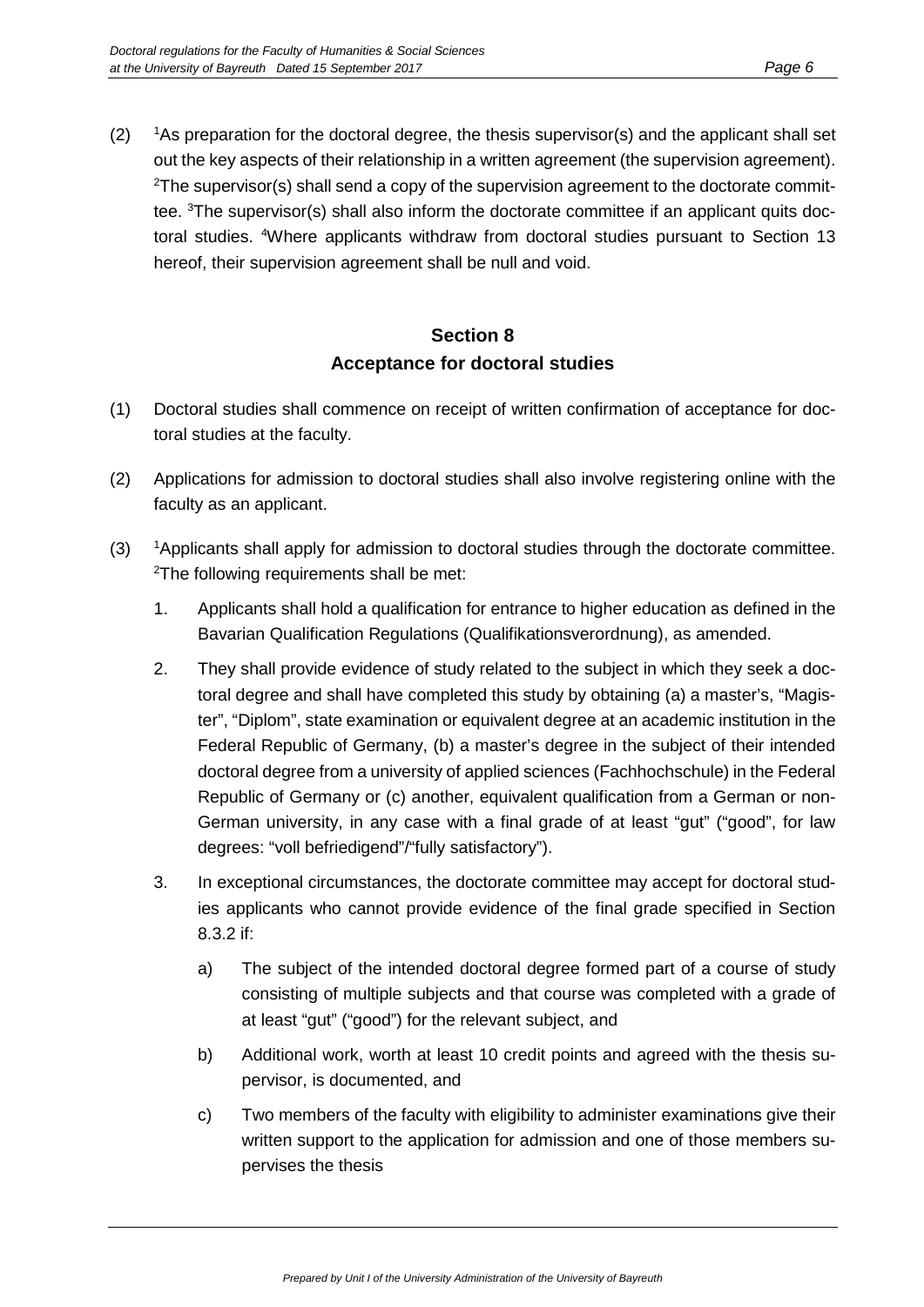$(2)$ <sup>1</sup>As preparation for the doctoral degree, the thesis supervisor(s) and the applicant shall set out the key aspects of their relationship in a written agreement (the supervision agreement).  $^{2}$ The supervisor(s) shall send a copy of the supervision agreement to the doctorate committee. <sup>3</sup>The supervisor(s) shall also inform the doctorate committee if an applicant quits doctoral studies. <sup>4</sup>Where applicants withdraw from doctoral studies pursuant to Section 13 hereof, their supervision agreement shall be null and void.

## **Section 8 Acceptance for doctoral studies**

- (1) Doctoral studies shall commence on receipt of written confirmation of acceptance for doctoral studies at the faculty.
- (2) Applications for admission to doctoral studies shall also involve registering online with the faculty as an applicant.
- $(3)$ <sup>1</sup>Applicants shall apply for admission to doctoral studies through the doctorate committee. 2 The following requirements shall be met:
	- 1. Applicants shall hold a qualification for entrance to higher education as defined in the Bavarian Qualification Regulations (Qualifikationsverordnung), as amended.
	- 2. They shall provide evidence of study related to the subject in which they seek a doctoral degree and shall have completed this study by obtaining (a) a master's, "Magister", "Diplom", state examination or equivalent degree at an academic institution in the Federal Republic of Germany, (b) a master's degree in the subject of their intended doctoral degree from a university of applied sciences (Fachhochschule) in the Federal Republic of Germany or (c) another, equivalent qualification from a German or non-German university, in any case with a final grade of at least "gut" ("good", for law degrees: "voll befriedigend"/"fully satisfactory").
	- 3. In exceptional circumstances, the doctorate committee may accept for doctoral studies applicants who cannot provide evidence of the final grade specified in Section 8.3.2 if:
		- a) The subject of the intended doctoral degree formed part of a course of study consisting of multiple subjects and that course was completed with a grade of at least "gut" ("good") for the relevant subject, and
		- b) Additional work, worth at least 10 credit points and agreed with the thesis supervisor, is documented, and
		- c) Two members of the faculty with eligibility to administer examinations give their written support to the application for admission and one of those members supervises the thesis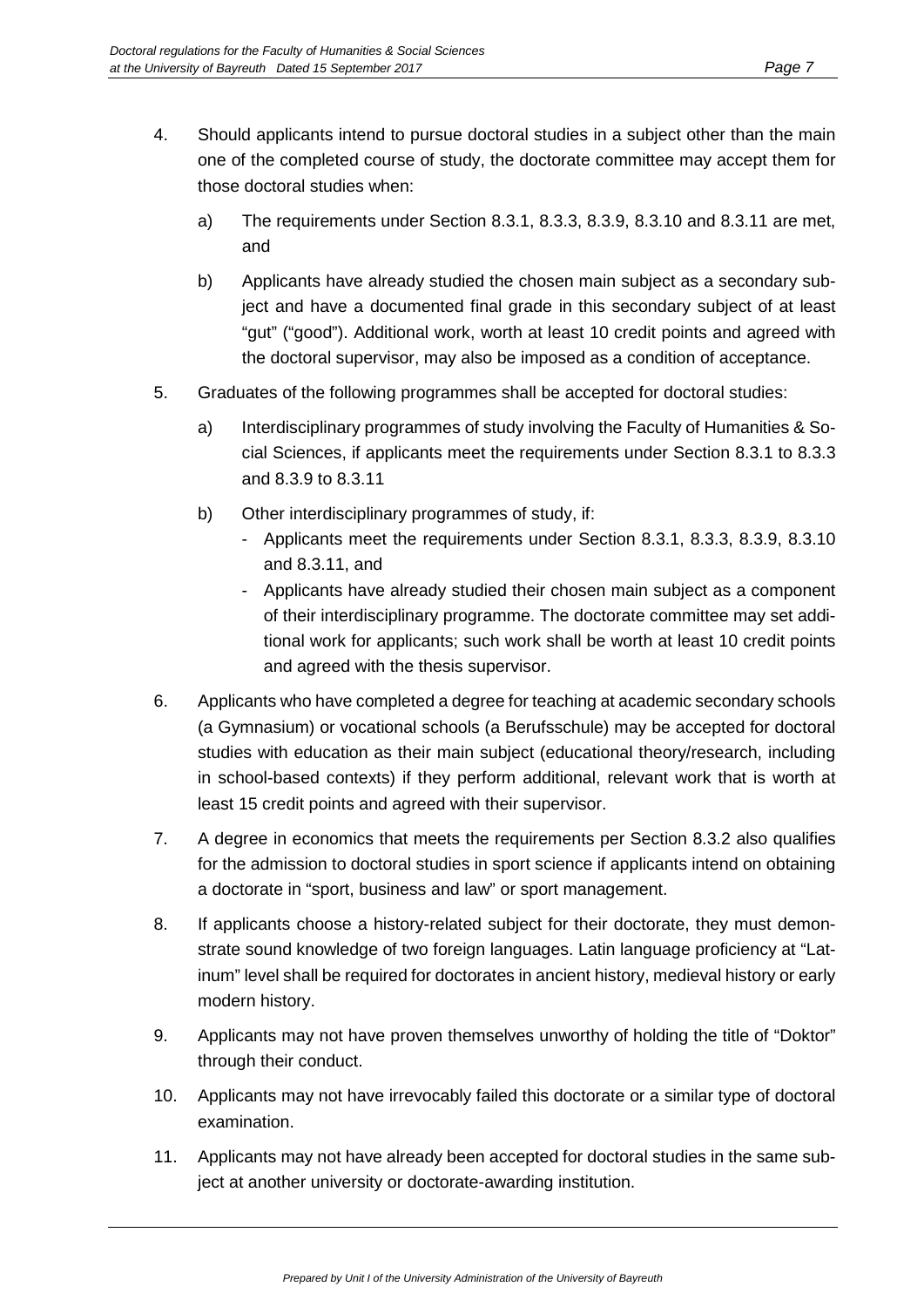- 4. Should applicants intend to pursue doctoral studies in a subject other than the main one of the completed course of study, the doctorate committee may accept them for those doctoral studies when:
	- a) The requirements under Section 8.3.1, 8.3.3, 8.3.9, 8.3.10 and 8.3.11 are met, and
	- b) Applicants have already studied the chosen main subject as a secondary subject and have a documented final grade in this secondary subject of at least "gut" ("good"). Additional work, worth at least 10 credit points and agreed with the doctoral supervisor, may also be imposed as a condition of acceptance.
- 5. Graduates of the following programmes shall be accepted for doctoral studies:
	- a) Interdisciplinary programmes of study involving the Faculty of Humanities & Social Sciences, if applicants meet the requirements under Section 8.3.1 to 8.3.3 and 8.3.9 to 8.3.11
	- b) Other interdisciplinary programmes of study, if:
		- Applicants meet the requirements under Section 8.3.1, 8.3.3, 8.3.9, 8.3.10 and 8.3.11, and
		- Applicants have already studied their chosen main subject as a component of their interdisciplinary programme. The doctorate committee may set additional work for applicants; such work shall be worth at least 10 credit points and agreed with the thesis supervisor.
- 6. Applicants who have completed a degree for teaching at academic secondary schools (a Gymnasium) or vocational schools (a Berufsschule) may be accepted for doctoral studies with education as their main subject (educational theory/research, including in school-based contexts) if they perform additional, relevant work that is worth at least 15 credit points and agreed with their supervisor.
- 7. A degree in economics that meets the requirements per Section 8.3.2 also qualifies for the admission to doctoral studies in sport science if applicants intend on obtaining a doctorate in "sport, business and law" or sport management.
- 8. If applicants choose a history-related subject for their doctorate, they must demonstrate sound knowledge of two foreign languages. Latin language proficiency at "Latinum" level shall be required for doctorates in ancient history, medieval history or early modern history.
- 9. Applicants may not have proven themselves unworthy of holding the title of "Doktor" through their conduct.
- 10. Applicants may not have irrevocably failed this doctorate or a similar type of doctoral examination.
- 11. Applicants may not have already been accepted for doctoral studies in the same subject at another university or doctorate-awarding institution.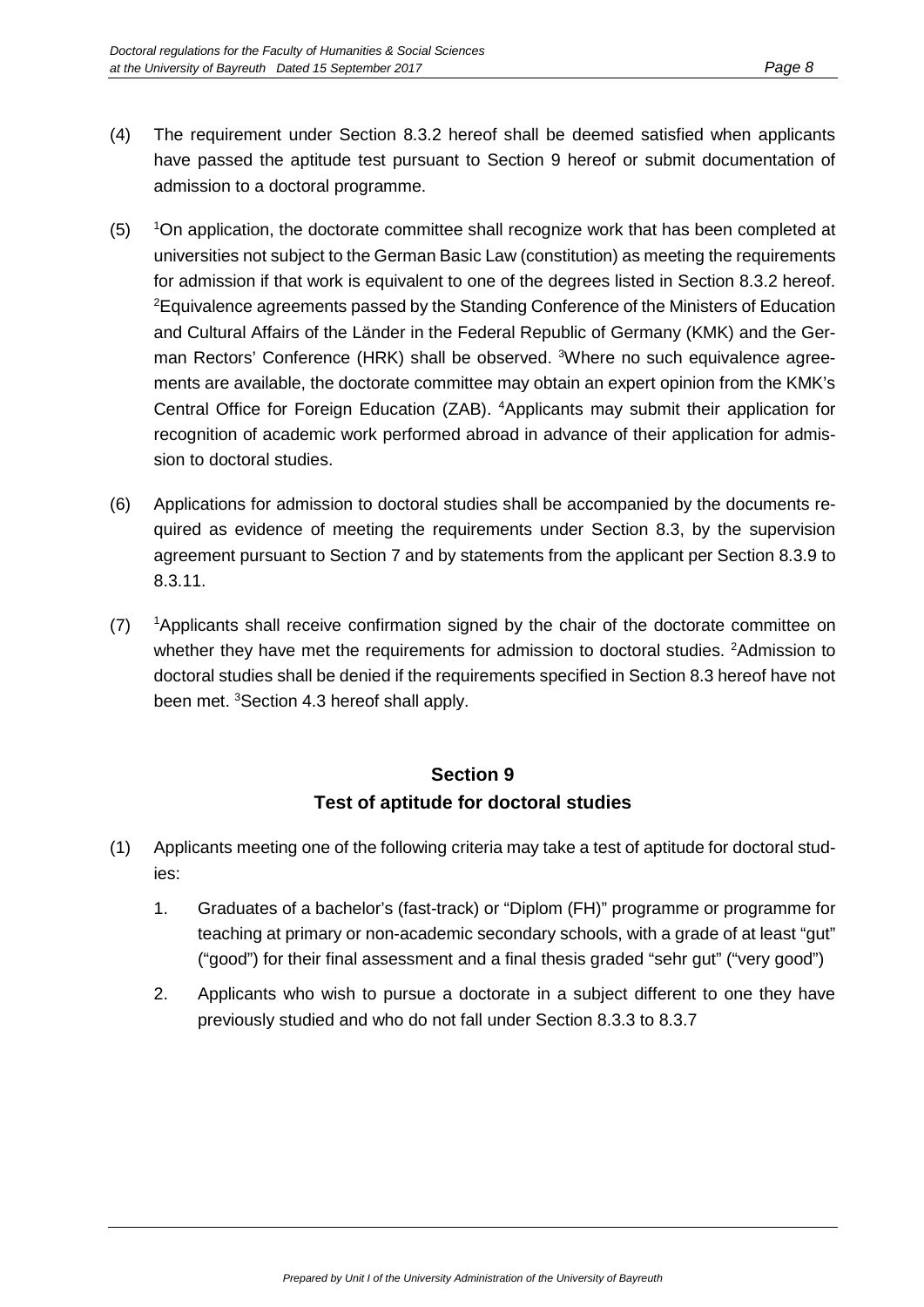- (4) The requirement under Section 8.3.2 hereof shall be deemed satisfied when applicants have passed the aptitude test pursuant to Section 9 hereof or submit documentation of admission to a doctoral programme.
- $(5)$ <sup>1</sup>On application, the doctorate committee shall recognize work that has been completed at universities not subject to the German Basic Law (constitution) as meeting the requirements for admission if that work is equivalent to one of the degrees listed in Section 8.3.2 hereof.  ${}^{2}$ Equivalence agreements passed by the Standing Conference of the Ministers of Education and Cultural Affairs of the Länder in the Federal Republic of Germany (KMK) and the German Rectors' Conference (HRK) shall be observed. <sup>3</sup>Where no such equivalence agreements are available, the doctorate committee may obtain an expert opinion from the KMK's Central Office for Foreign Education (ZAB). <sup>4</sup>Applicants may submit their application for recognition of academic work performed abroad in advance of their application for admission to doctoral studies.
- (6) Applications for admission to doctoral studies shall be accompanied by the documents required as evidence of meeting the requirements under Section 8.3, by the supervision agreement pursuant to Section 7 and by statements from the applicant per Section 8.3.9 to 8.3.11.
- $(7)$ <sup>1</sup>Applicants shall receive confirmation signed by the chair of the doctorate committee on whether they have met the requirements for admission to doctoral studies. <sup>2</sup>Admission to doctoral studies shall be denied if the requirements specified in Section 8.3 hereof have not been met. <sup>3</sup>Section 4.3 hereof shall apply.

## **Section 9 Test of aptitude for doctoral studies**

- (1) Applicants meeting one of the following criteria may take a test of aptitude for doctoral studies:
	- 1. Graduates of a bachelor's (fast-track) or "Diplom (FH)" programme or programme for teaching at primary or non-academic secondary schools, with a grade of at least "gut" ("good") for their final assessment and a final thesis graded "sehr gut" ("very good")
	- 2. Applicants who wish to pursue a doctorate in a subject different to one they have previously studied and who do not fall under Section 8.3.3 to 8.3.7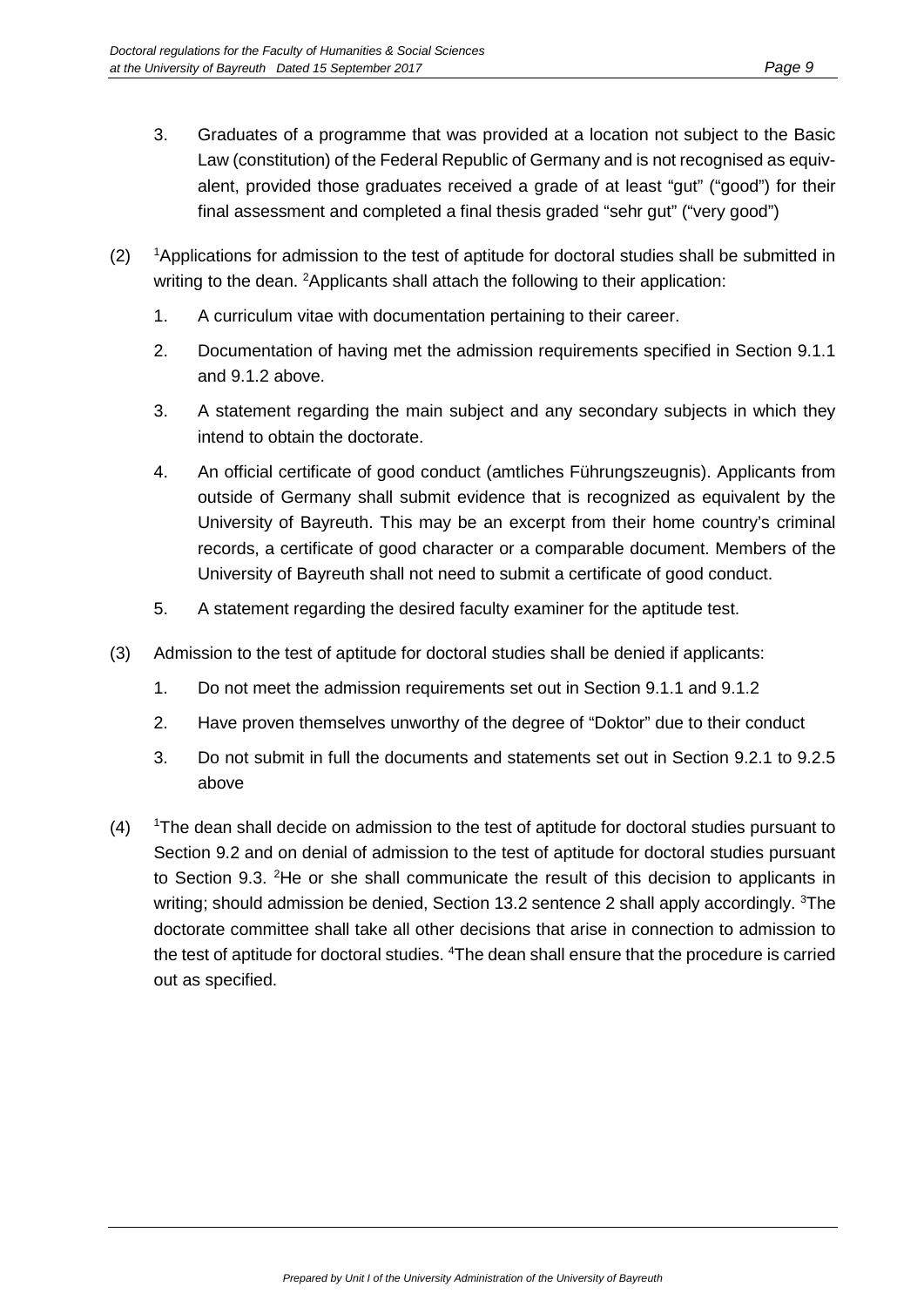- 3. Graduates of a programme that was provided at a location not subject to the Basic Law (constitution) of the Federal Republic of Germany and is not recognised as equivalent, provided those graduates received a grade of at least "gut" ("good") for their final assessment and completed a final thesis graded "sehr gut" ("very good")
- $(2)$ <sup>1</sup>Applications for admission to the test of aptitude for doctoral studies shall be submitted in writing to the dean. <sup>2</sup>Applicants shall attach the following to their application:
	- 1. A curriculum vitae with documentation pertaining to their career.
	- 2. Documentation of having met the admission requirements specified in Section 9.1.1 and 9.1.2 above.
	- 3. A statement regarding the main subject and any secondary subjects in which they intend to obtain the doctorate.
	- 4. An official certificate of good conduct (amtliches Führungszeugnis). Applicants from outside of Germany shall submit evidence that is recognized as equivalent by the University of Bayreuth. This may be an excerpt from their home country's criminal records, a certificate of good character or a comparable document. Members of the University of Bayreuth shall not need to submit a certificate of good conduct.
	- 5. A statement regarding the desired faculty examiner for the aptitude test.
- (3) Admission to the test of aptitude for doctoral studies shall be denied if applicants:
	- 1. Do not meet the admission requirements set out in Section 9.1.1 and 9.1.2
	- 2. Have proven themselves unworthy of the degree of "Doktor" due to their conduct
	- 3. Do not submit in full the documents and statements set out in Section 9.2.1 to 9.2.5 above
- $(4)$ The dean shall decide on admission to the test of aptitude for doctoral studies pursuant to Section 9.2 and on denial of admission to the test of aptitude for doctoral studies pursuant to Section 9.3. <sup>2</sup>He or she shall communicate the result of this decision to applicants in writing; should admission be denied, Section 13.2 sentence 2 shall apply accordingly. <sup>3</sup>The doctorate committee shall take all other decisions that arise in connection to admission to the test of aptitude for doctoral studies. <sup>4</sup>The dean shall ensure that the procedure is carried out as specified.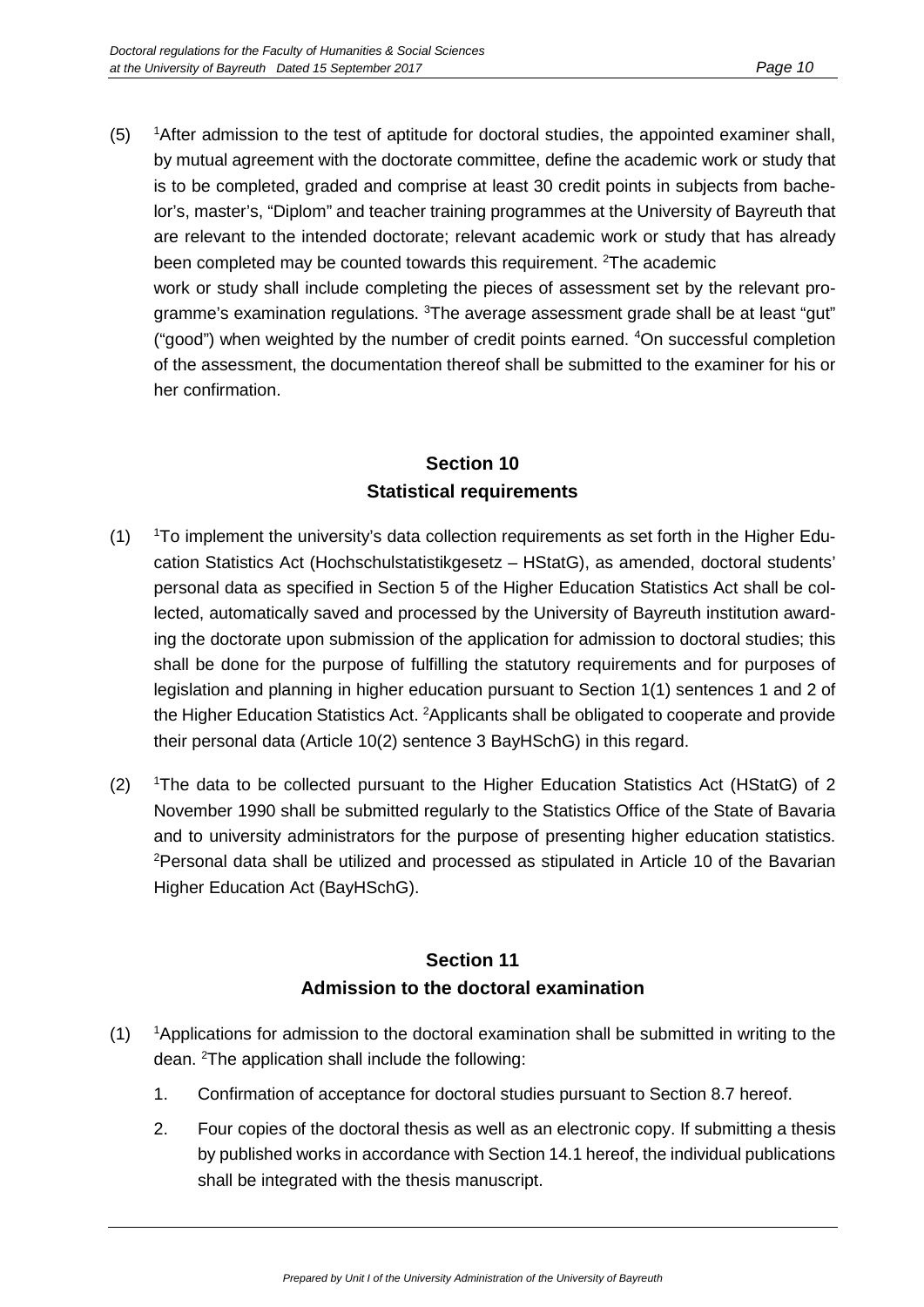$(5)$ <sup>1</sup> After admission to the test of aptitude for doctoral studies, the appointed examiner shall, by mutual agreement with the doctorate committee, define the academic work or study that is to be completed, graded and comprise at least 30 credit points in subjects from bachelor's, master's, "Diplom" and teacher training programmes at the University of Bayreuth that are relevant to the intended doctorate; relevant academic work or study that has already been completed may be counted towards this requirement. <sup>2</sup>The academic work or study shall include completing the pieces of assessment set by the relevant programme's examination regulations. <sup>3</sup>The average assessment grade shall be at least "gut" ("good") when weighted by the number of credit points earned. <sup>4</sup>On successful completion of the assessment, the documentation thereof shall be submitted to the examiner for his or her confirmation.

#### **Section 10 Statistical requirements**

- $(1)$ <sup>1</sup>To implement the university's data collection requirements as set forth in the Higher Education Statistics Act (Hochschulstatistikgesetz – HStatG), as amended, doctoral students' personal data as specified in Section 5 of the Higher Education Statistics Act shall be collected, automatically saved and processed by the University of Bayreuth institution awarding the doctorate upon submission of the application for admission to doctoral studies; this shall be done for the purpose of fulfilling the statutory requirements and for purposes of legislation and planning in higher education pursuant to Section 1(1) sentences 1 and 2 of the Higher Education Statistics Act. <sup>2</sup>Applicants shall be obligated to cooperate and provide their personal data (Article 10(2) sentence 3 BayHSchG) in this regard.
- $(2)$ The data to be collected pursuant to the Higher Education Statistics Act (HStatG) of 2 November 1990 shall be submitted regularly to the Statistics Office of the State of Bavaria and to university administrators for the purpose of presenting higher education statistics. 2 Personal data shall be utilized and processed as stipulated in Article 10 of the Bavarian Higher Education Act (BayHSchG).

#### **Section 11 Admission to the doctoral examination**

- $(1)$ <sup>1</sup>Applications for admission to the doctoral examination shall be submitted in writing to the dean. <sup>2</sup>The application shall include the following:
	- 1. Confirmation of acceptance for doctoral studies pursuant to Section 8.7 hereof.
	- 2. Four copies of the doctoral thesis as well as an electronic copy. If submitting a thesis by published works in accordance with Section 14.1 hereof, the individual publications shall be integrated with the thesis manuscript.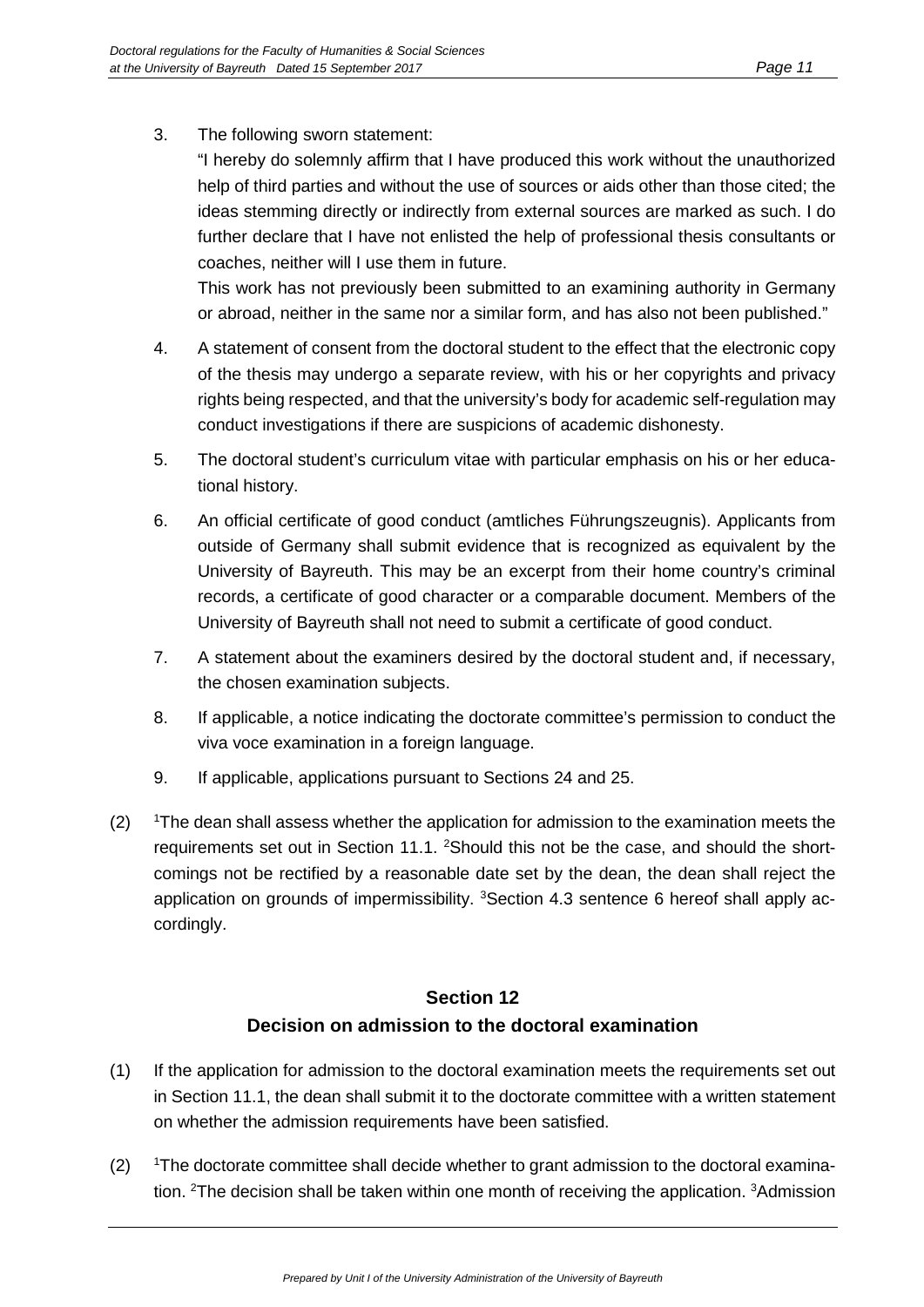3. The following sworn statement:

"I hereby do solemnly affirm that I have produced this work without the unauthorized help of third parties and without the use of sources or aids other than those cited; the ideas stemming directly or indirectly from external sources are marked as such. I do further declare that I have not enlisted the help of professional thesis consultants or coaches, neither will I use them in future.

This work has not previously been submitted to an examining authority in Germany or abroad, neither in the same nor a similar form, and has also not been published."

- 4. A statement of consent from the doctoral student to the effect that the electronic copy of the thesis may undergo a separate review, with his or her copyrights and privacy rights being respected, and that the university's body for academic self-regulation may conduct investigations if there are suspicions of academic dishonesty.
- 5. The doctoral student's curriculum vitae with particular emphasis on his or her educational history.
- 6. An official certificate of good conduct (amtliches Führungszeugnis). Applicants from outside of Germany shall submit evidence that is recognized as equivalent by the University of Bayreuth. This may be an excerpt from their home country's criminal records, a certificate of good character or a comparable document. Members of the University of Bayreuth shall not need to submit a certificate of good conduct.
- 7. A statement about the examiners desired by the doctoral student and, if necessary, the chosen examination subjects.
- 8. If applicable, a notice indicating the doctorate committee's permission to conduct the viva voce examination in a foreign language.
- 9. If applicable, applications pursuant to Sections 24 and 25.
- $(2)$ <sup>1</sup>The dean shall assess whether the application for admission to the examination meets the requirements set out in Section 11.1. <sup>2</sup>Should this not be the case, and should the shortcomings not be rectified by a reasonable date set by the dean, the dean shall reject the application on grounds of impermissibility. <sup>3</sup>Section 4.3 sentence 6 hereof shall apply accordingly.

# **Section 12 Decision on admission to the doctoral examination**

- (1) If the application for admission to the doctoral examination meets the requirements set out in Section 11.1, the dean shall submit it to the doctorate committee with a written statement on whether the admission requirements have been satisfied.
- $(2)$ The doctorate committee shall decide whether to grant admission to the doctoral examination. <sup>2</sup>The decision shall be taken within one month of receiving the application. <sup>3</sup>Admission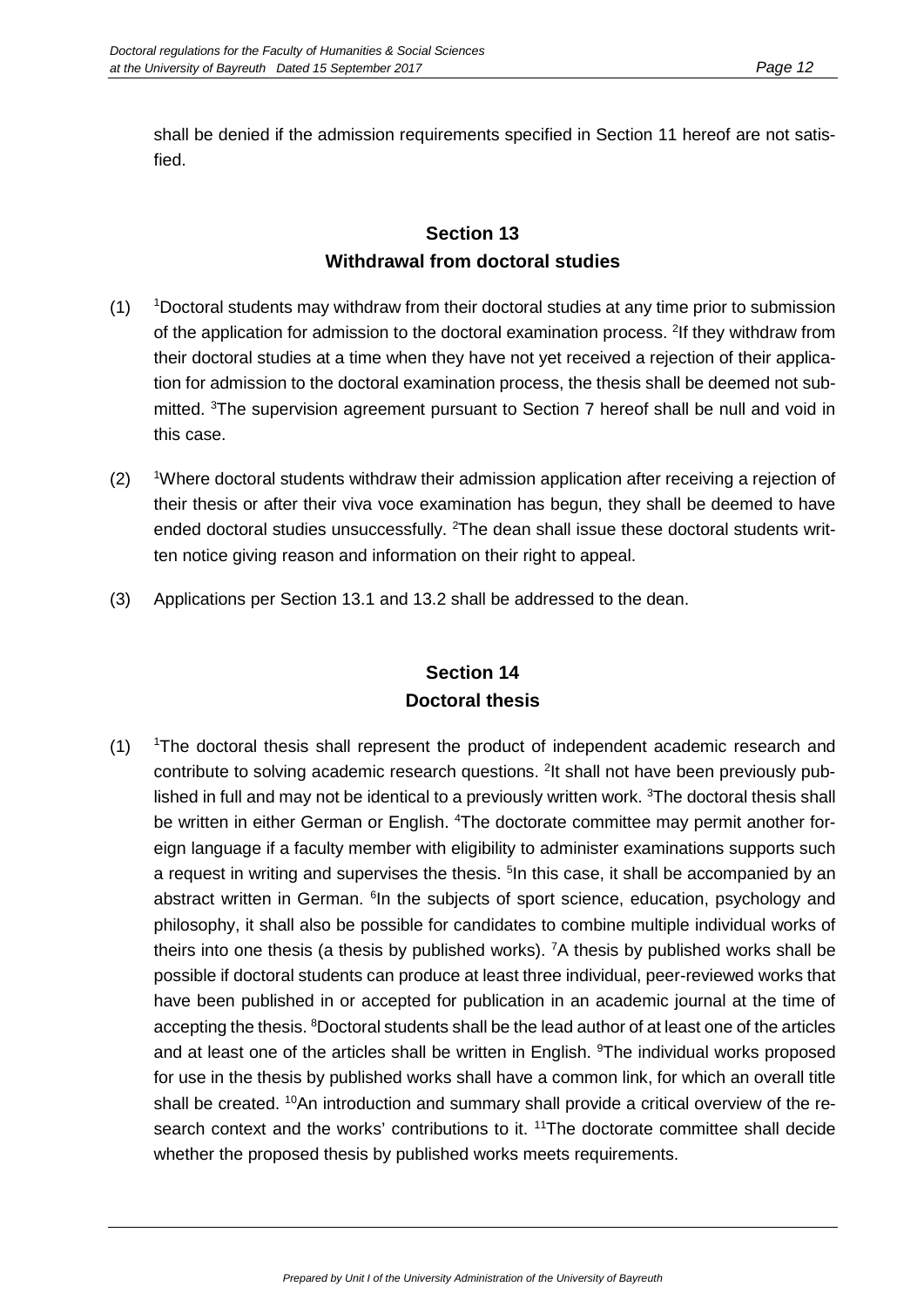shall be denied if the admission requirements specified in Section 11 hereof are not satisfied.

#### **Section 13 Withdrawal from doctoral studies**

- $(1)$ Doctoral students may withdraw from their doctoral studies at any time prior to submission of the application for admission to the doctoral examination process. <sup>2</sup>If they withdraw from their doctoral studies at a time when they have not yet received a rejection of their application for admission to the doctoral examination process, the thesis shall be deemed not submitted. <sup>3</sup>The supervision agreement pursuant to Section 7 hereof shall be null and void in this case.
- $(2)$ Where doctoral students withdraw their admission application after receiving a rejection of their thesis or after their viva voce examination has begun, they shall be deemed to have ended doctoral studies unsuccessfully. <sup>2</sup>The dean shall issue these doctoral students written notice giving reason and information on their right to appeal.
- (3) Applications per Section 13.1 and 13.2 shall be addressed to the dean.

## **Section 14 Doctoral thesis**

 $(1)$ <sup>1</sup>The doctoral thesis shall represent the product of independent academic research and contribute to solving academic research questions. <sup>2</sup>It shall not have been previously published in full and may not be identical to a previously written work. <sup>3</sup>The doctoral thesis shall be written in either German or English. <sup>4</sup>The doctorate committee may permit another foreign language if a faculty member with eligibility to administer examinations supports such a request in writing and supervises the thesis. <sup>5</sup>In this case, it shall be accompanied by an abstract written in German. <sup>6</sup>In the subjects of sport science, education, psychology and philosophy, it shall also be possible for candidates to combine multiple individual works of theirs into one thesis (a thesis by published works). <sup>7</sup>A thesis by published works shall be possible if doctoral students can produce at least three individual, peer-reviewed works that have been published in or accepted for publication in an academic journal at the time of accepting the thesis. <sup>8</sup>Doctoral students shall be the lead author of at least one of the articles and at least one of the articles shall be written in English. <sup>9</sup>The individual works proposed for use in the thesis by published works shall have a common link, for which an overall title shall be created. <sup>10</sup>An introduction and summary shall provide a critical overview of the research context and the works' contributions to it. <sup>11</sup>The doctorate committee shall decide whether the proposed thesis by published works meets requirements.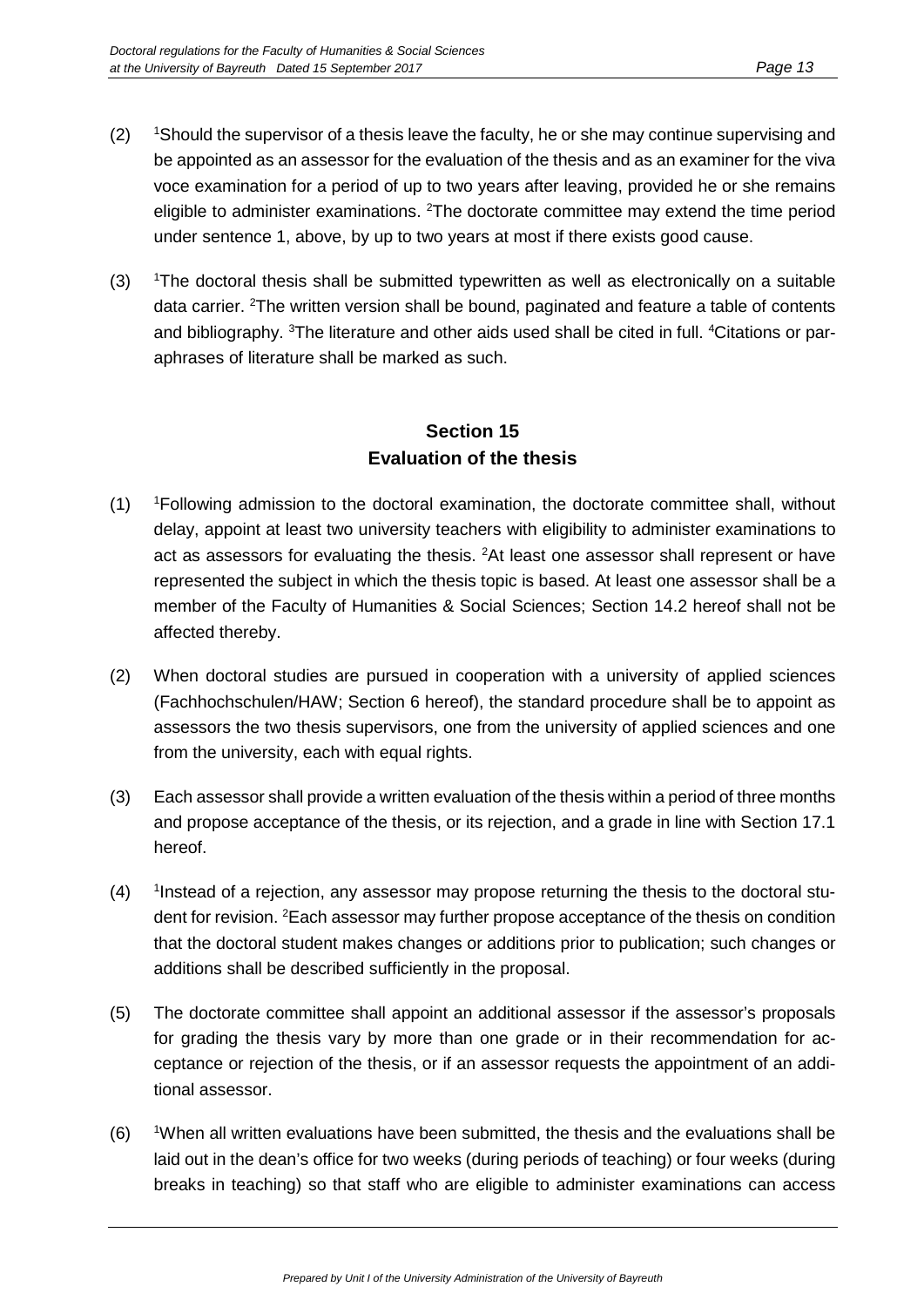- $(2)$ Should the supervisor of a thesis leave the faculty, he or she may continue supervising and be appointed as an assessor for the evaluation of the thesis and as an examiner for the viva voce examination for a period of up to two years after leaving, provided he or she remains eligible to administer examinations. <sup>2</sup>The doctorate committee may extend the time period under sentence 1, above, by up to two years at most if there exists good cause.
- $(3)$ The doctoral thesis shall be submitted typewritten as well as electronically on a suitable data carrier. <sup>2</sup>The written version shall be bound, paginated and feature a table of contents and bibliography. <sup>3</sup>The literature and other aids used shall be cited in full. <sup>4</sup>Citations or paraphrases of literature shall be marked as such.

## **Section 15 Evaluation of the thesis**

- $(1)$ Following admission to the doctoral examination, the doctorate committee shall, without delay, appoint at least two university teachers with eligibility to administer examinations to act as assessors for evaluating the thesis. <sup>2</sup>At least one assessor shall represent or have represented the subject in which the thesis topic is based. At least one assessor shall be a member of the Faculty of Humanities & Social Sciences; Section 14.2 hereof shall not be affected thereby.
- (2) When doctoral studies are pursued in cooperation with a university of applied sciences (Fachhochschulen/HAW; Section 6 hereof), the standard procedure shall be to appoint as assessors the two thesis supervisors, one from the university of applied sciences and one from the university, each with equal rights.
- (3) Each assessor shall provide a written evaluation of the thesis within a period of three months and propose acceptance of the thesis, or its rejection, and a grade in line with Section 17.1 hereof.
- $(4)$ Instead of a rejection, any assessor may propose returning the thesis to the doctoral student for revision. <sup>2</sup>Each assessor may further propose acceptance of the thesis on condition that the doctoral student makes changes or additions prior to publication; such changes or additions shall be described sufficiently in the proposal.
- (5) The doctorate committee shall appoint an additional assessor if the assessor's proposals for grading the thesis vary by more than one grade or in their recommendation for acceptance or rejection of the thesis, or if an assessor requests the appointment of an additional assessor.
- $(6)$ When all written evaluations have been submitted, the thesis and the evaluations shall be laid out in the dean's office for two weeks (during periods of teaching) or four weeks (during breaks in teaching) so that staff who are eligible to administer examinations can access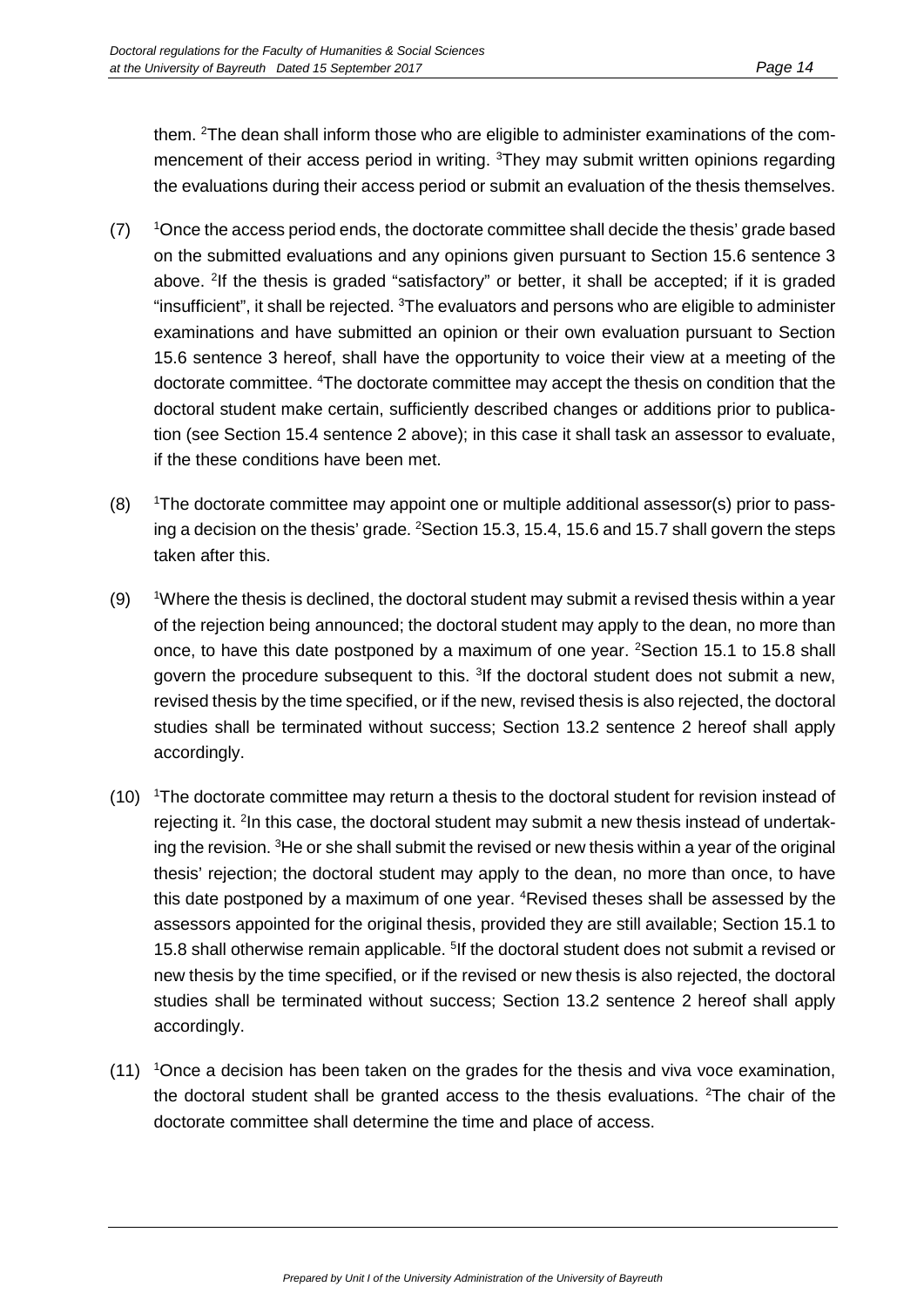them. <sup>2</sup>The dean shall inform those who are eligible to administer examinations of the commencement of their access period in writing. <sup>3</sup>They may submit written opinions regarding the evaluations during their access period or submit an evaluation of the thesis themselves.

- $(7)$ Once the access period ends, the doctorate committee shall decide the thesis' grade based on the submitted evaluations and any opinions given pursuant to Section 15.6 sentence 3 above. <sup>2</sup>If the thesis is graded "satisfactory" or better, it shall be accepted; if it is graded "insufficient", it shall be rejected.  $3$ The evaluators and persons who are eligible to administer examinations and have submitted an opinion or their own evaluation pursuant to Section 15.6 sentence 3 hereof, shall have the opportunity to voice their view at a meeting of the doctorate committee. <sup>4</sup>The doctorate committee may accept the thesis on condition that the doctoral student make certain, sufficiently described changes or additions prior to publication (see Section 15.4 sentence 2 above); in this case it shall task an assessor to evaluate, if the these conditions have been met.
- $(8)$ <sup>1</sup>The doctorate committee may appoint one or multiple additional assessor(s) prior to passing a decision on the thesis' grade. <sup>2</sup>Section 15.3, 15.4, 15.6 and 15.7 shall govern the steps taken after this.
- $(9)$ Where the thesis is declined, the doctoral student may submit a revised thesis within a year of the rejection being announced; the doctoral student may apply to the dean, no more than once, to have this date postponed by a maximum of one year. <sup>2</sup>Section 15.1 to 15.8 shall govern the procedure subsequent to this. <sup>3</sup>If the doctoral student does not submit a new, revised thesis by the time specified, or if the new, revised thesis is also rejected, the doctoral studies shall be terminated without success; Section 13.2 sentence 2 hereof shall apply accordingly.
- (10) <sup>1</sup>The doctorate committee may return a thesis to the doctoral student for revision instead of rejecting it. <sup>2</sup>In this case, the doctoral student may submit a new thesis instead of undertaking the revision. <sup>3</sup>He or she shall submit the revised or new thesis within a year of the original thesis' rejection; the doctoral student may apply to the dean, no more than once, to have this date postponed by a maximum of one year. <sup>4</sup>Revised theses shall be assessed by the assessors appointed for the original thesis, provided they are still available; Section 15.1 to 15.8 shall otherwise remain applicable. <sup>5</sup>If the doctoral student does not submit a revised or new thesis by the time specified, or if the revised or new thesis is also rejected, the doctoral studies shall be terminated without success; Section 13.2 sentence 2 hereof shall apply accordingly.
- (11) <sup>1</sup>Once a decision has been taken on the grades for the thesis and viva voce examination, the doctoral student shall be granted access to the thesis evaluations. <sup>2</sup>The chair of the doctorate committee shall determine the time and place of access.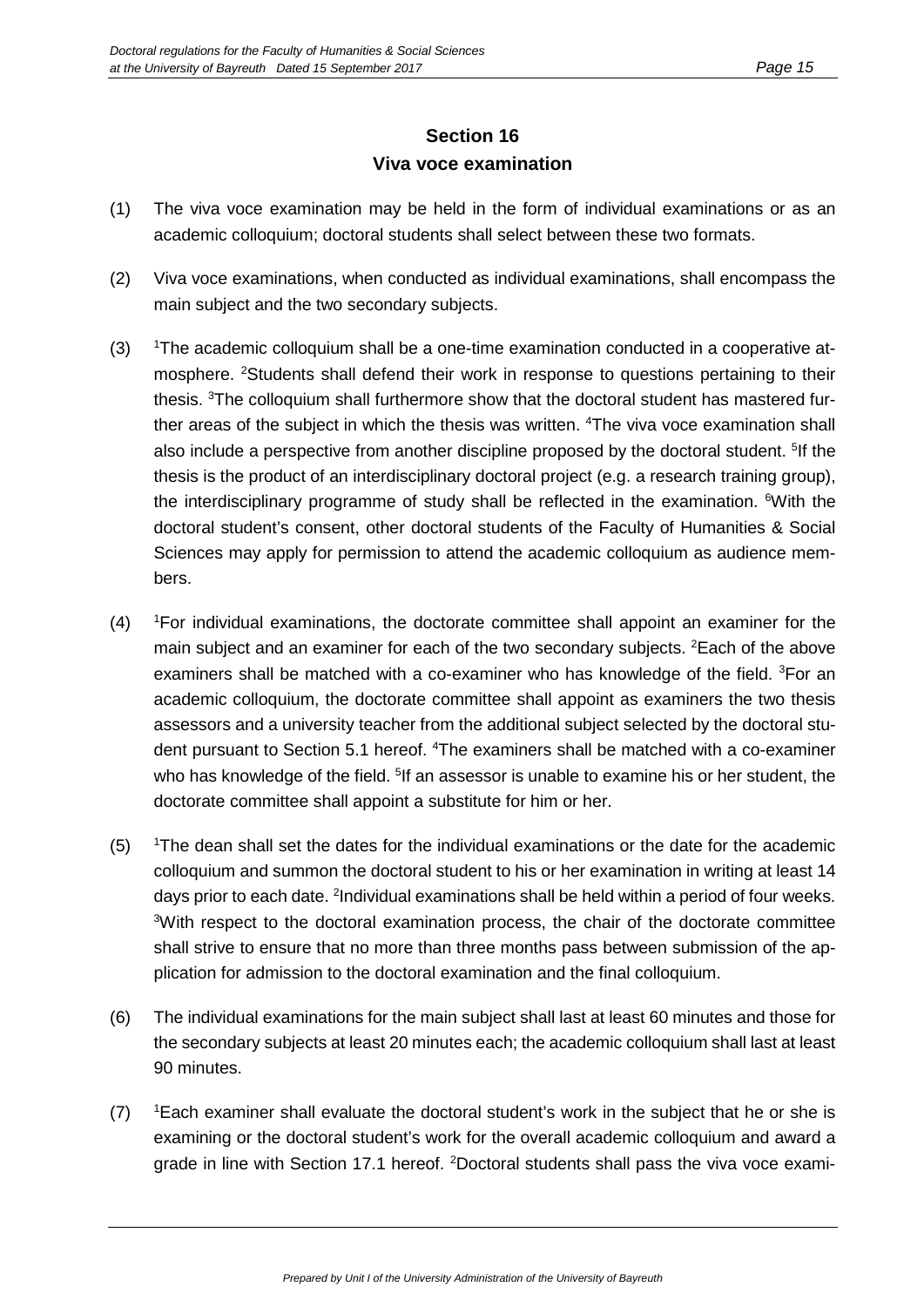#### **Section 16 Viva voce examination**

- (1) The viva voce examination may be held in the form of individual examinations or as an academic colloquium; doctoral students shall select between these two formats.
- (2) Viva voce examinations, when conducted as individual examinations, shall encompass the main subject and the two secondary subjects.
- $(3)$ The academic colloquium shall be a one-time examination conducted in a cooperative atmosphere. <sup>2</sup>Students shall defend their work in response to questions pertaining to their thesis. <sup>3</sup>The colloquium shall furthermore show that the doctoral student has mastered further areas of the subject in which the thesis was written. <sup>4</sup>The viva voce examination shall also include a perspective from another discipline proposed by the doctoral student. <sup>5</sup>If the thesis is the product of an interdisciplinary doctoral project (e.g. a research training group), the interdisciplinary programme of study shall be reflected in the examination. <sup>6</sup>With the doctoral student's consent, other doctoral students of the Faculty of Humanities & Social Sciences may apply for permission to attend the academic colloquium as audience members.
- $(4)$ For individual examinations, the doctorate committee shall appoint an examiner for the main subject and an examiner for each of the two secondary subjects. <sup>2</sup>Each of the above examiners shall be matched with a co-examiner who has knowledge of the field. <sup>3</sup>For an academic colloquium, the doctorate committee shall appoint as examiners the two thesis assessors and a university teacher from the additional subject selected by the doctoral student pursuant to Section 5.1 hereof. <sup>4</sup>The examiners shall be matched with a co-examiner who has knowledge of the field. <sup>5</sup>lf an assessor is unable to examine his or her student, the doctorate committee shall appoint a substitute for him or her.
- $(5)$ The dean shall set the dates for the individual examinations or the date for the academic colloquium and summon the doctoral student to his or her examination in writing at least 14 days prior to each date. <sup>2</sup>Individual examinations shall be held within a period of four weeks. <sup>3</sup>With respect to the doctoral examination process, the chair of the doctorate committee shall strive to ensure that no more than three months pass between submission of the application for admission to the doctoral examination and the final colloquium.
- (6) The individual examinations for the main subject shall last at least 60 minutes and those for the secondary subjects at least 20 minutes each; the academic colloquium shall last at least 90 minutes.
- $(7)$ Each examiner shall evaluate the doctoral student's work in the subject that he or she is examining or the doctoral student's work for the overall academic colloquium and award a grade in line with Section 17.1 hereof. <sup>2</sup>Doctoral students shall pass the viva voce exami-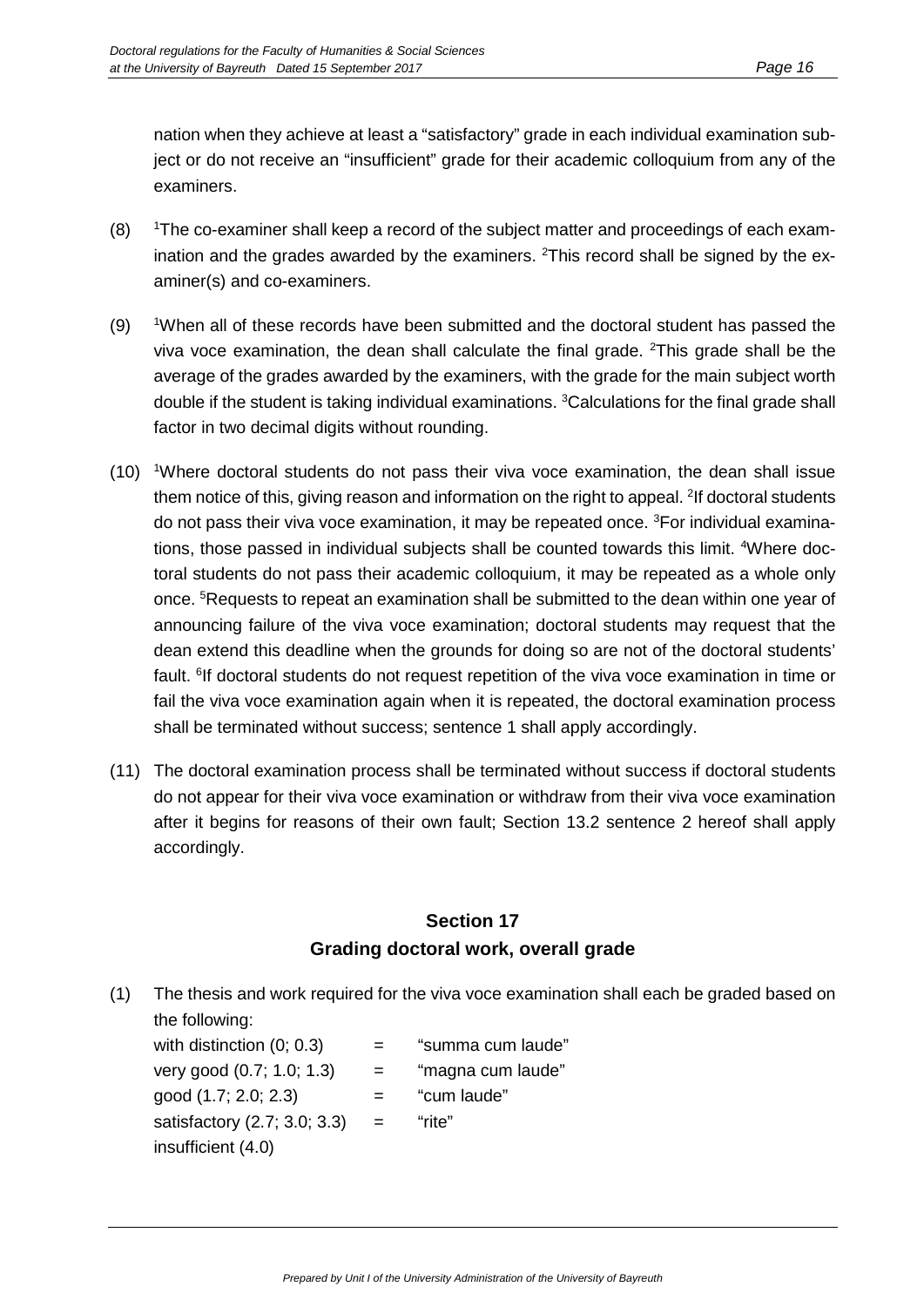nation when they achieve at least a "satisfactory" grade in each individual examination subject or do not receive an "insufficient" grade for their academic colloquium from any of the examiners.

- $(8)$ The co-examiner shall keep a record of the subject matter and proceedings of each examination and the grades awarded by the examiners. <sup>2</sup>This record shall be signed by the examiner(s) and co-examiners.
- $(9)$ When all of these records have been submitted and the doctoral student has passed the viva voce examination, the dean shall calculate the final grade. <sup>2</sup>This grade shall be the average of the grades awarded by the examiners, with the grade for the main subject worth double if the student is taking individual examinations. <sup>3</sup>Calculations for the final grade shall factor in two decimal digits without rounding.
- (10) <sup>1</sup>Where doctoral students do not pass their viva voce examination, the dean shall issue them notice of this, giving reason and information on the right to appeal. <sup>2</sup>If doctoral students do not pass their viva voce examination, it may be repeated once. <sup>3</sup>For individual examinations, those passed in individual subjects shall be counted towards this limit. <sup>4</sup>Where doctoral students do not pass their academic colloquium, it may be repeated as a whole only once. <sup>5</sup>Requests to repeat an examination shall be submitted to the dean within one year of announcing failure of the viva voce examination; doctoral students may request that the dean extend this deadline when the grounds for doing so are not of the doctoral students' fault. <sup>6</sup>If doctoral students do not request repetition of the viva voce examination in time or fail the viva voce examination again when it is repeated, the doctoral examination process shall be terminated without success; sentence 1 shall apply accordingly.
- (11) The doctoral examination process shall be terminated without success if doctoral students do not appear for their viva voce examination or withdraw from their viva voce examination after it begins for reasons of their own fault; Section 13.2 sentence 2 hereof shall apply accordingly.

#### **Section 17 Grading doctoral work, overall grade**

(1) The thesis and work required for the viva voce examination shall each be graded based on the following:

with distinction  $(0; 0.3)$  = "summa cum laude" very good  $(0.7; 1.0; 1.3)$  = "magna cum laude"  $good (1.7; 2.0; 2.3)$  = "cum laude" satisfactory  $(2.7; 3.0; 3.3) =$  "rite" insufficient (4.0)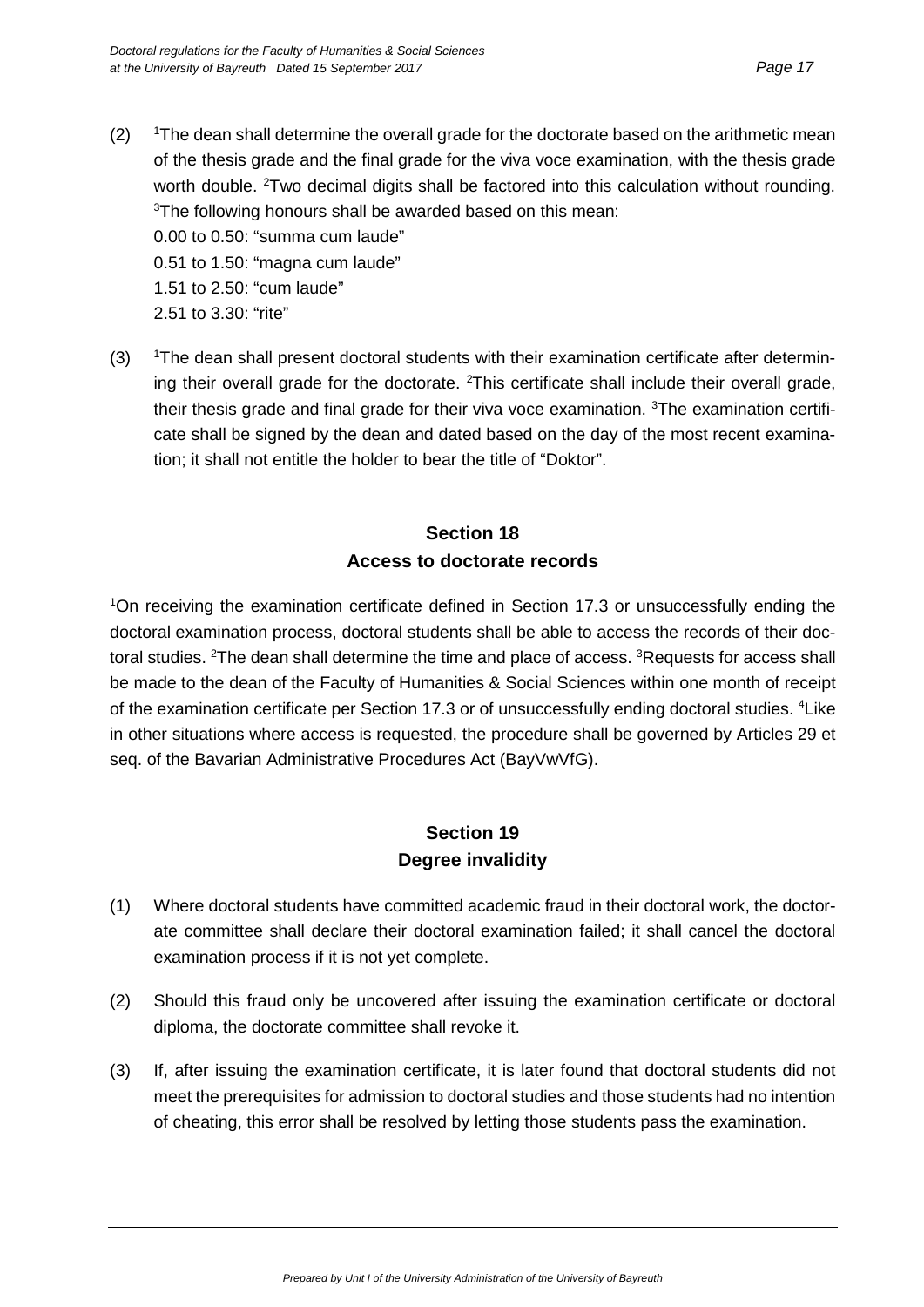- $(2)$ The dean shall determine the overall grade for the doctorate based on the arithmetic mean of the thesis grade and the final grade for the viva voce examination, with the thesis grade worth double. <sup>2</sup>Two decimal digits shall be factored into this calculation without rounding.  $3$ The following honours shall be awarded based on this mean: 0.00 to 0.50: "summa cum laude" 0.51 to 1.50: "magna cum laude" 1.51 to 2.50: "cum laude"
	- 2.51 to 3.30: "rite"
- $(3)$ <sup>1</sup>The dean shall present doctoral students with their examination certificate after determining their overall grade for the doctorate. <sup>2</sup>This certificate shall include their overall grade, their thesis grade and final grade for their viva voce examination. <sup>3</sup>The examination certificate shall be signed by the dean and dated based on the day of the most recent examination; it shall not entitle the holder to bear the title of "Doktor".

#### **Section 18 Access to doctorate records**

<sup>1</sup>On receiving the examination certificate defined in Section 17.3 or unsuccessfully ending the doctoral examination process, doctoral students shall be able to access the records of their doctoral studies. <sup>2</sup>The dean shall determine the time and place of access. <sup>3</sup>Requests for access shall be made to the dean of the Faculty of Humanities & Social Sciences within one month of receipt of the examination certificate per Section 17.3 or of unsuccessfully ending doctoral studies. <sup>4</sup>Like in other situations where access is requested, the procedure shall be governed by Articles 29 et seq. of the Bavarian Administrative Procedures Act (BayVwVfG).

#### **Section 19 Degree invalidity**

- (1) Where doctoral students have committed academic fraud in their doctoral work, the doctorate committee shall declare their doctoral examination failed; it shall cancel the doctoral examination process if it is not yet complete.
- (2) Should this fraud only be uncovered after issuing the examination certificate or doctoral diploma, the doctorate committee shall revoke it.
- (3) If, after issuing the examination certificate, it is later found that doctoral students did not meet the prerequisites for admission to doctoral studies and those students had no intention of cheating, this error shall be resolved by letting those students pass the examination.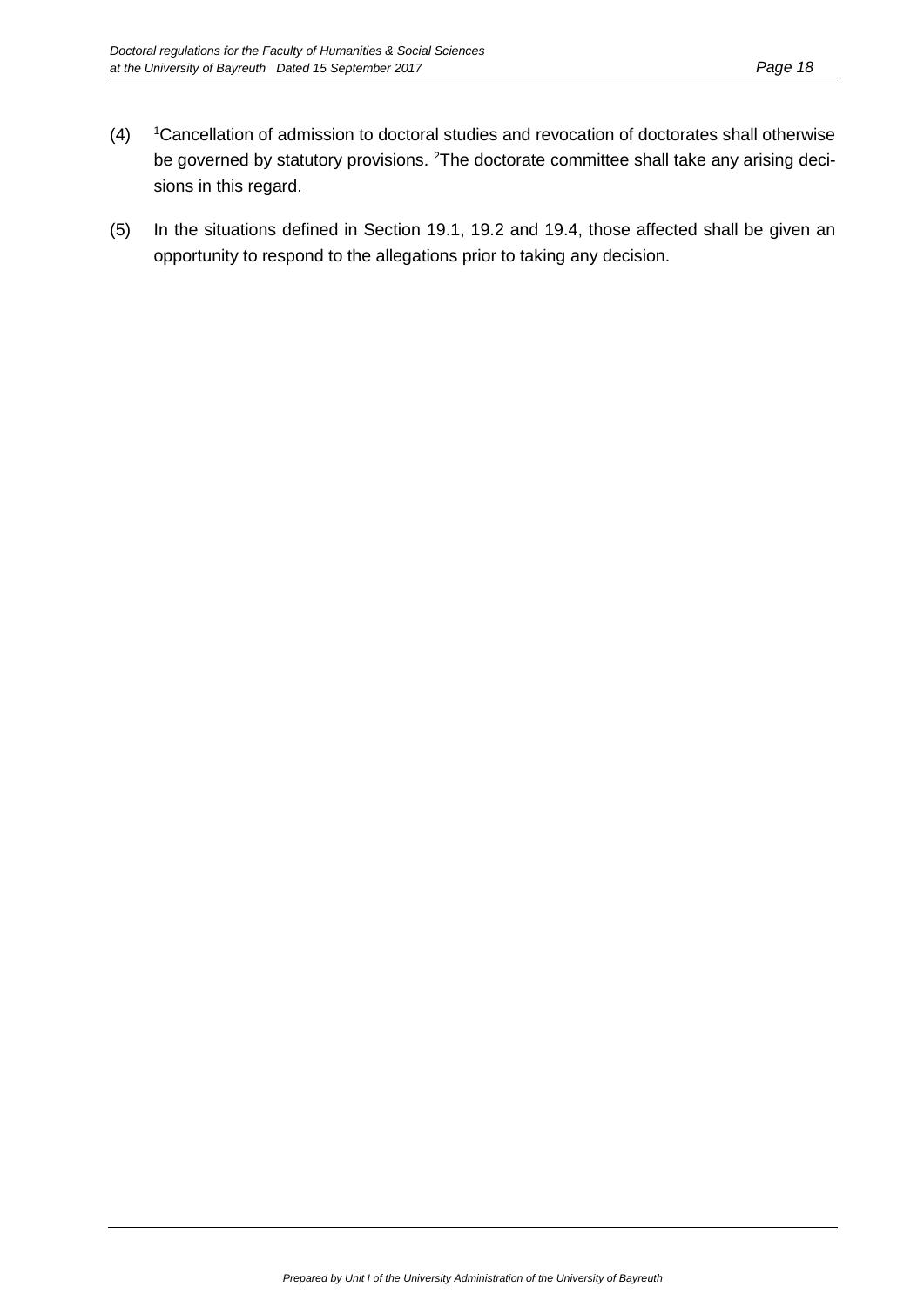- $(4)$ <sup>1</sup> Cancellation of admission to doctoral studies and revocation of doctorates shall otherwise be governed by statutory provisions. <sup>2</sup>The doctorate committee shall take any arising decisions in this regard.
- (5) In the situations defined in Section 19.1, 19.2 and 19.4, those affected shall be given an opportunity to respond to the allegations prior to taking any decision.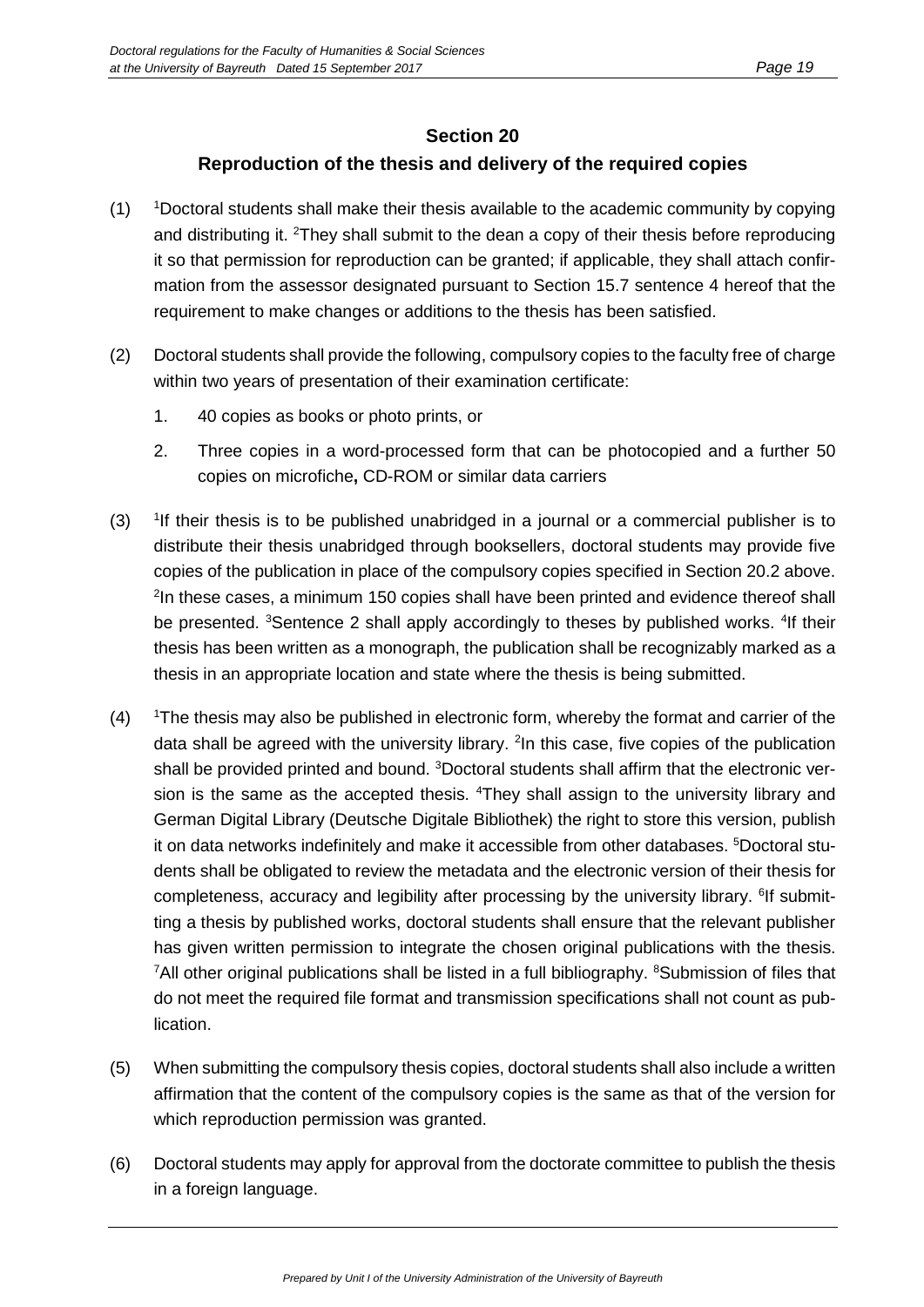#### **Section 20**

#### **Reproduction of the thesis and delivery of the required copies**

- $(1)$ Doctoral students shall make their thesis available to the academic community by copying and distributing it. <sup>2</sup>They shall submit to the dean a copy of their thesis before reproducing it so that permission for reproduction can be granted; if applicable, they shall attach confirmation from the assessor designated pursuant to Section 15.7 sentence 4 hereof that the requirement to make changes or additions to the thesis has been satisfied.
- (2) Doctoral students shall provide the following, compulsory copies to the faculty free of charge within two years of presentation of their examination certificate:
	- 1. 40 copies as books or photo prints, or
	- 2. Three copies in a word-processed form that can be photocopied and a further 50 copies on microfiche**,** CD-ROM or similar data carriers
- $(3)$ <sup>1</sup>If their thesis is to be published unabridged in a journal or a commercial publisher is to distribute their thesis unabridged through booksellers, doctoral students may provide five copies of the publication in place of the compulsory copies specified in Section 20.2 above. <sup>2</sup>In these cases, a minimum 150 copies shall have been printed and evidence thereof shall be presented. <sup>3</sup>Sentence 2 shall apply accordingly to theses by published works. <sup>4</sup>If their thesis has been written as a monograph, the publication shall be recognizably marked as a thesis in an appropriate location and state where the thesis is being submitted.
- $(4)$ The thesis may also be published in electronic form, whereby the format and carrier of the data shall be agreed with the university library. <sup>2</sup>In this case, five copies of the publication shall be provided printed and bound. <sup>3</sup>Doctoral students shall affirm that the electronic version is the same as the accepted thesis. <sup>4</sup>They shall assign to the university library and German Digital Library (Deutsche Digitale Bibliothek) the right to store this version, publish it on data networks indefinitely and make it accessible from other databases. <sup>5</sup>Doctoral students shall be obligated to review the metadata and the electronic version of their thesis for completeness, accuracy and legibility after processing by the university library. <sup>6</sup>If submitting a thesis by published works, doctoral students shall ensure that the relevant publisher has given written permission to integrate the chosen original publications with the thesis. <sup>7</sup>All other original publications shall be listed in a full bibliography. <sup>8</sup>Submission of files that do not meet the required file format and transmission specifications shall not count as publication.
- (5) When submitting the compulsory thesis copies, doctoral students shall also include a written affirmation that the content of the compulsory copies is the same as that of the version for which reproduction permission was granted.
- (6) Doctoral students may apply for approval from the doctorate committee to publish the thesis in a foreign language.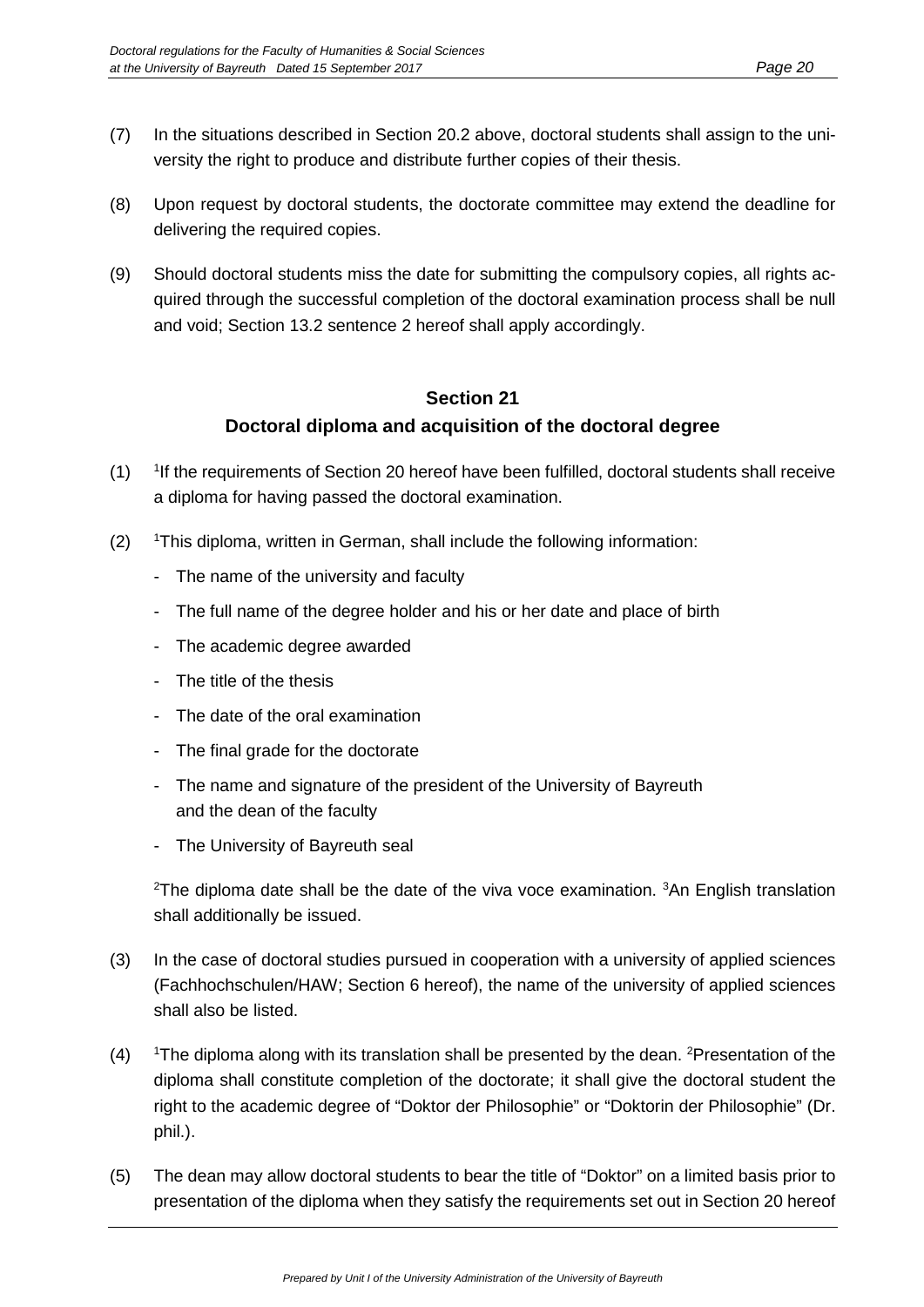- (7) In the situations described in Section 20.2 above, doctoral students shall assign to the university the right to produce and distribute further copies of their thesis.
- (8) Upon request by doctoral students, the doctorate committee may extend the deadline for delivering the required copies.
- (9) Should doctoral students miss the date for submitting the compulsory copies, all rights acquired through the successful completion of the doctoral examination process shall be null and void; Section 13.2 sentence 2 hereof shall apply accordingly.

#### **Section 21 Doctoral diploma and acquisition of the doctoral degree**

- $(1)$ <sup>1</sup> If the requirements of Section 20 hereof have been fulfilled, doctoral students shall receive a diploma for having passed the doctoral examination.
- $(2)$ This diploma, written in German, shall include the following information:
	- The name of the university and faculty
	- The full name of the degree holder and his or her date and place of birth
	- The academic degree awarded
	- The title of the thesis
	- The date of the oral examination
	- The final grade for the doctorate
	- The name and signature of the president of the University of Bayreuth and the dean of the faculty
	- The University of Bayreuth seal

<sup>2</sup>The diploma date shall be the date of the viva voce examination. <sup>3</sup>An English translation shall additionally be issued.

- (3) In the case of doctoral studies pursued in cooperation with a university of applied sciences (Fachhochschulen/HAW; Section 6 hereof), the name of the university of applied sciences shall also be listed.
- $(4)$ The diploma along with its translation shall be presented by the dean. <sup>2</sup>Presentation of the diploma shall constitute completion of the doctorate; it shall give the doctoral student the right to the academic degree of "Doktor der Philosophie" or "Doktorin der Philosophie" (Dr. phil.).
- (5) The dean may allow doctoral students to bear the title of "Doktor" on a limited basis prior to presentation of the diploma when they satisfy the requirements set out in Section 20 hereof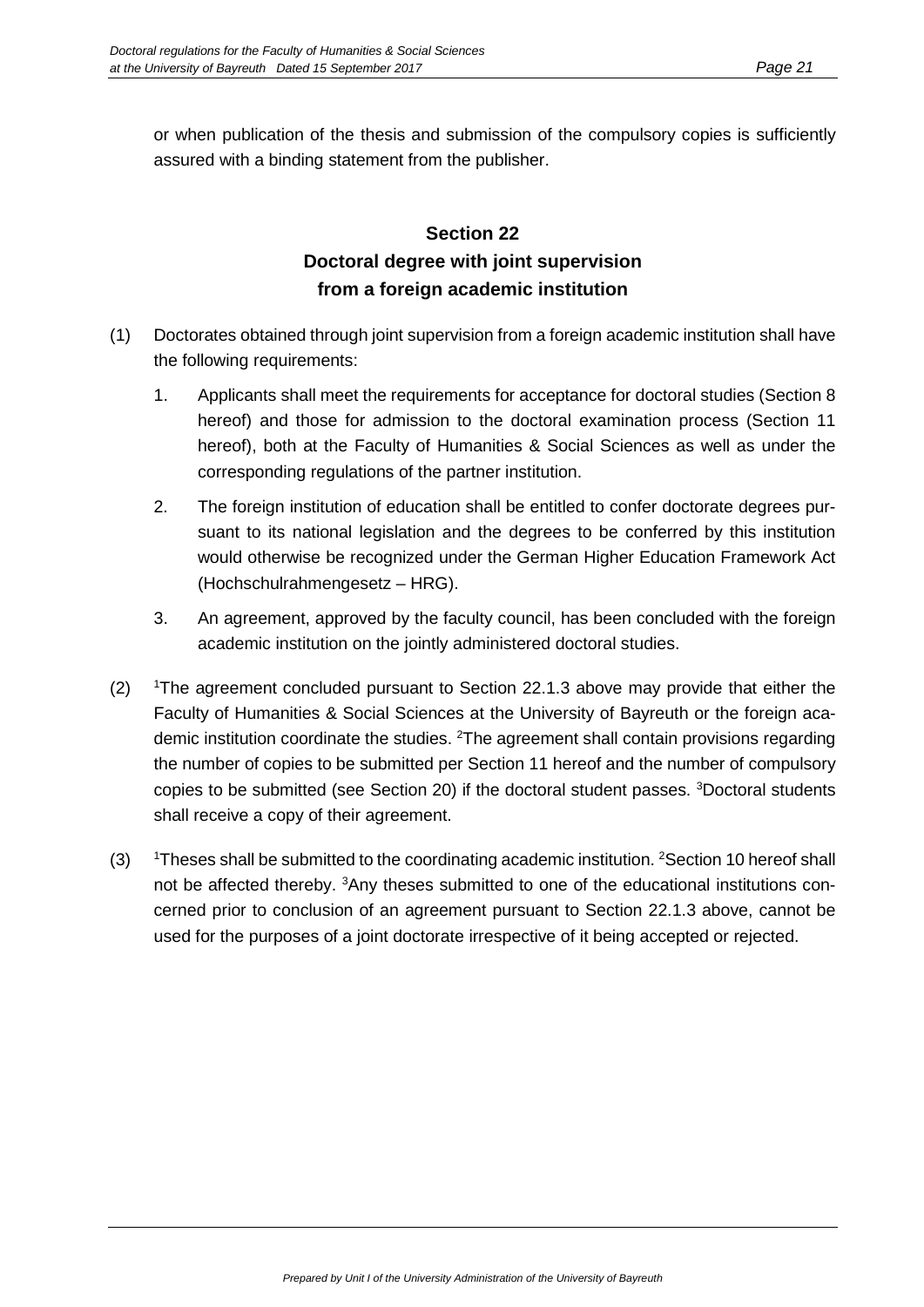or when publication of the thesis and submission of the compulsory copies is sufficiently assured with a binding statement from the publisher.

## **Section 22 Doctoral degree with joint supervision from a foreign academic institution**

- (1) Doctorates obtained through joint supervision from a foreign academic institution shall have the following requirements:
	- 1. Applicants shall meet the requirements for acceptance for doctoral studies (Section 8 hereof) and those for admission to the doctoral examination process (Section 11 hereof), both at the Faculty of Humanities & Social Sciences as well as under the corresponding regulations of the partner institution.
	- 2. The foreign institution of education shall be entitled to confer doctorate degrees pursuant to its national legislation and the degrees to be conferred by this institution would otherwise be recognized under the German Higher Education Framework Act (Hochschulrahmengesetz – HRG).
	- 3. An agreement, approved by the faculty council, has been concluded with the foreign academic institution on the jointly administered doctoral studies.
- $(2)$ The agreement concluded pursuant to Section 22.1.3 above may provide that either the Faculty of Humanities & Social Sciences at the University of Bayreuth or the foreign academic institution coordinate the studies. <sup>2</sup>The agreement shall contain provisions regarding the number of copies to be submitted per Section 11 hereof and the number of compulsory copies to be submitted (see Section 20) if the doctoral student passes. <sup>3</sup>Doctoral students shall receive a copy of their agreement.
- $(3)$ Theses shall be submitted to the coordinating academic institution. <sup>2</sup>Section 10 hereof shall not be affected thereby. <sup>3</sup>Any theses submitted to one of the educational institutions concerned prior to conclusion of an agreement pursuant to Section 22.1.3 above, cannot be used for the purposes of a joint doctorate irrespective of it being accepted or rejected.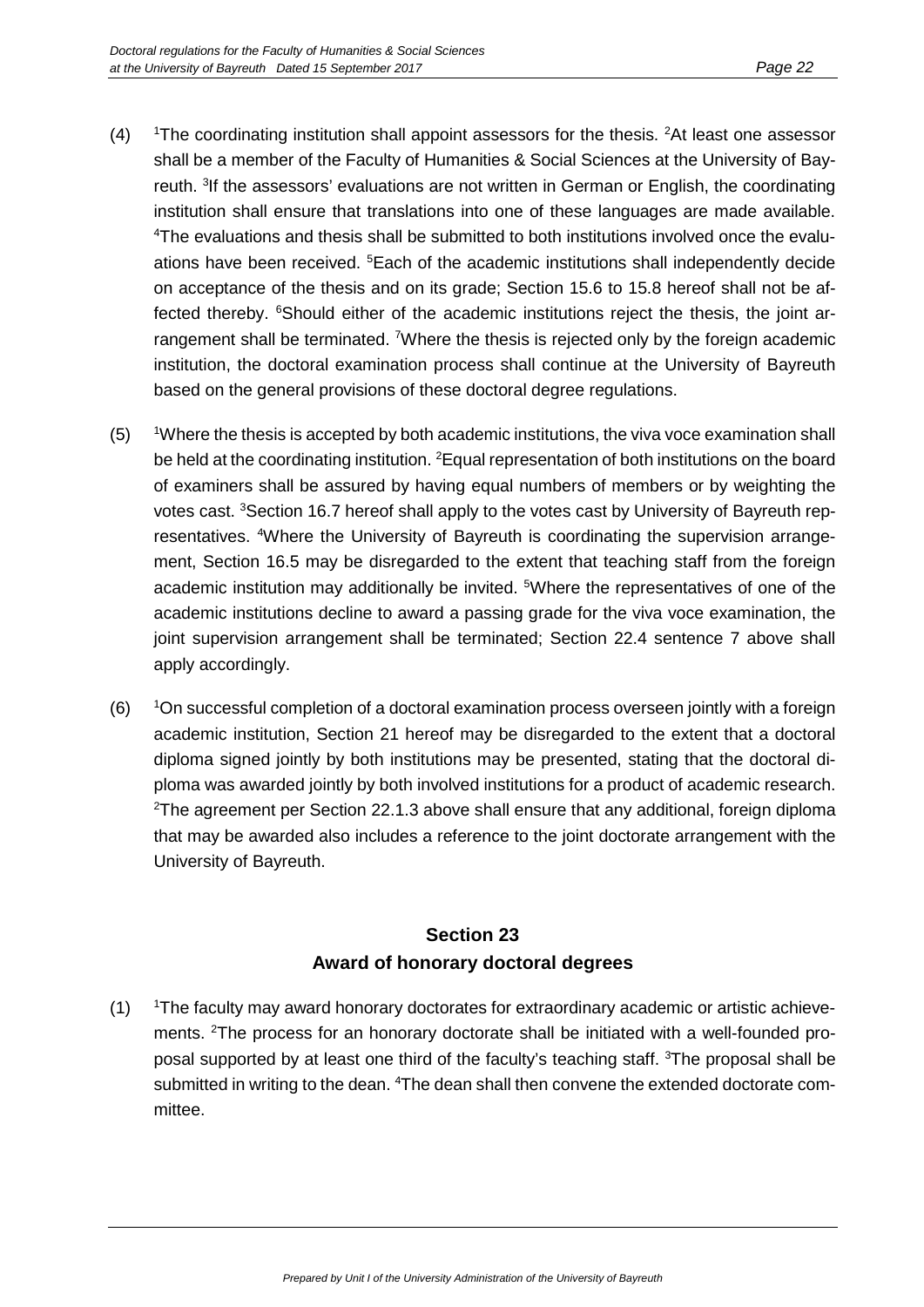- $(4)$ The coordinating institution shall appoint assessors for the thesis. <sup>2</sup>At least one assessor shall be a member of the Faculty of Humanities & Social Sciences at the University of Bayreuth. <sup>3</sup>If the assessors' evaluations are not written in German or English, the coordinating institution shall ensure that translations into one of these languages are made available. 4 The evaluations and thesis shall be submitted to both institutions involved once the evaluations have been received. <sup>5</sup> Each of the academic institutions shall independently decide on acceptance of the thesis and on its grade; Section 15.6 to 15.8 hereof shall not be affected thereby. <sup>6</sup>Should either of the academic institutions reject the thesis, the joint arrangement shall be terminated. <sup>7</sup>Where the thesis is rejected only by the foreign academic institution, the doctoral examination process shall continue at the University of Bayreuth based on the general provisions of these doctoral degree regulations.
- $(5)$ Where the thesis is accepted by both academic institutions, the viva voce examination shall be held at the coordinating institution. <sup>2</sup>Equal representation of both institutions on the board of examiners shall be assured by having equal numbers of members or by weighting the votes cast. <sup>3</sup>Section 16.7 hereof shall apply to the votes cast by University of Bayreuth representatives. <sup>4</sup>Where the University of Bayreuth is coordinating the supervision arrangement, Section 16.5 may be disregarded to the extent that teaching staff from the foreign academic institution may additionally be invited. <sup>5</sup>Where the representatives of one of the academic institutions decline to award a passing grade for the viva voce examination, the joint supervision arrangement shall be terminated; Section 22.4 sentence 7 above shall apply accordingly.
- $(6)$ On successful completion of a doctoral examination process overseen jointly with a foreign academic institution, Section 21 hereof may be disregarded to the extent that a doctoral diploma signed jointly by both institutions may be presented, stating that the doctoral diploma was awarded jointly by both involved institutions for a product of academic research.  $2$ The agreement per Section 22.1.3 above shall ensure that any additional, foreign diploma that may be awarded also includes a reference to the joint doctorate arrangement with the University of Bayreuth.

## **Section 23 Award of honorary doctoral degrees**

 $(1)$ The faculty may award honorary doctorates for extraordinary academic or artistic achievements. 2 The process for an honorary doctorate shall be initiated with a well-founded proposal supported by at least one third of the faculty's teaching staff. <sup>3</sup>The proposal shall be submitted in writing to the dean. <sup>4</sup>The dean shall then convene the extended doctorate committee.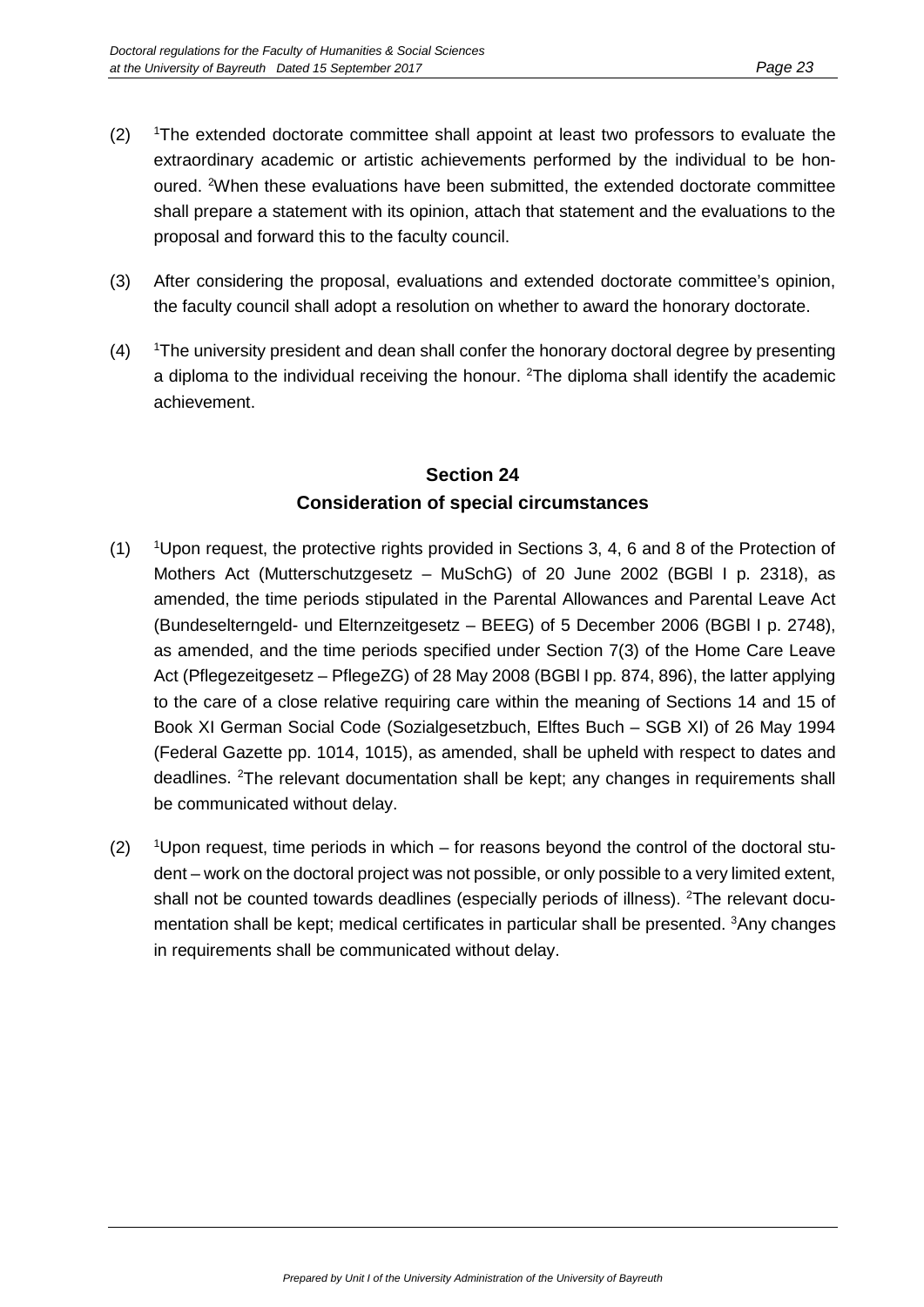- $(2)$ The extended doctorate committee shall appoint at least two professors to evaluate the extraordinary academic or artistic achievements performed by the individual to be honoured. <sup>2</sup>When these evaluations have been submitted, the extended doctorate committee shall prepare a statement with its opinion, attach that statement and the evaluations to the proposal and forward this to the faculty council.
- (3) After considering the proposal, evaluations and extended doctorate committee's opinion, the faculty council shall adopt a resolution on whether to award the honorary doctorate.
- $(4)$ The university president and dean shall confer the honorary doctoral degree by presenting a diploma to the individual receiving the honour. <sup>2</sup>The diploma shall identify the academic achievement.

## **Section 24 Consideration of special circumstances**

- $(1)$ Upon request, the protective rights provided in Sections 3, 4, 6 and 8 of the Protection of Mothers Act (Mutterschutzgesetz – MuSchG) of 20 June 2002 (BGBl I p. 2318), as amended, the time periods stipulated in the Parental Allowances and Parental Leave Act (Bundeselterngeld- und Elternzeitgesetz – BEEG) of 5 December 2006 (BGBl I p. 2748), as amended, and the time periods specified under Section 7(3) of the Home Care Leave Act (Pflegezeitgesetz – PflegeZG) of 28 May 2008 (BGBl I pp. 874, 896), the latter applying to the care of a close relative requiring care within the meaning of Sections 14 and 15 of Book XI German Social Code (Sozialgesetzbuch, Elftes Buch – SGB XI) of 26 May 1994 (Federal Gazette pp. 1014, 1015), as amended, shall be upheld with respect to dates and deadlines. <sup>2</sup>The relevant documentation shall be kept; any changes in requirements shall be communicated without delay.
- $(2)$ Upon request, time periods in which – for reasons beyond the control of the doctoral student – work on the doctoral project was not possible, or only possible to a very limited extent, shall not be counted towards deadlines (especially periods of illness). <sup>2</sup>The relevant documentation shall be kept; medical certificates in particular shall be presented. <sup>3</sup>Any changes in requirements shall be communicated without delay.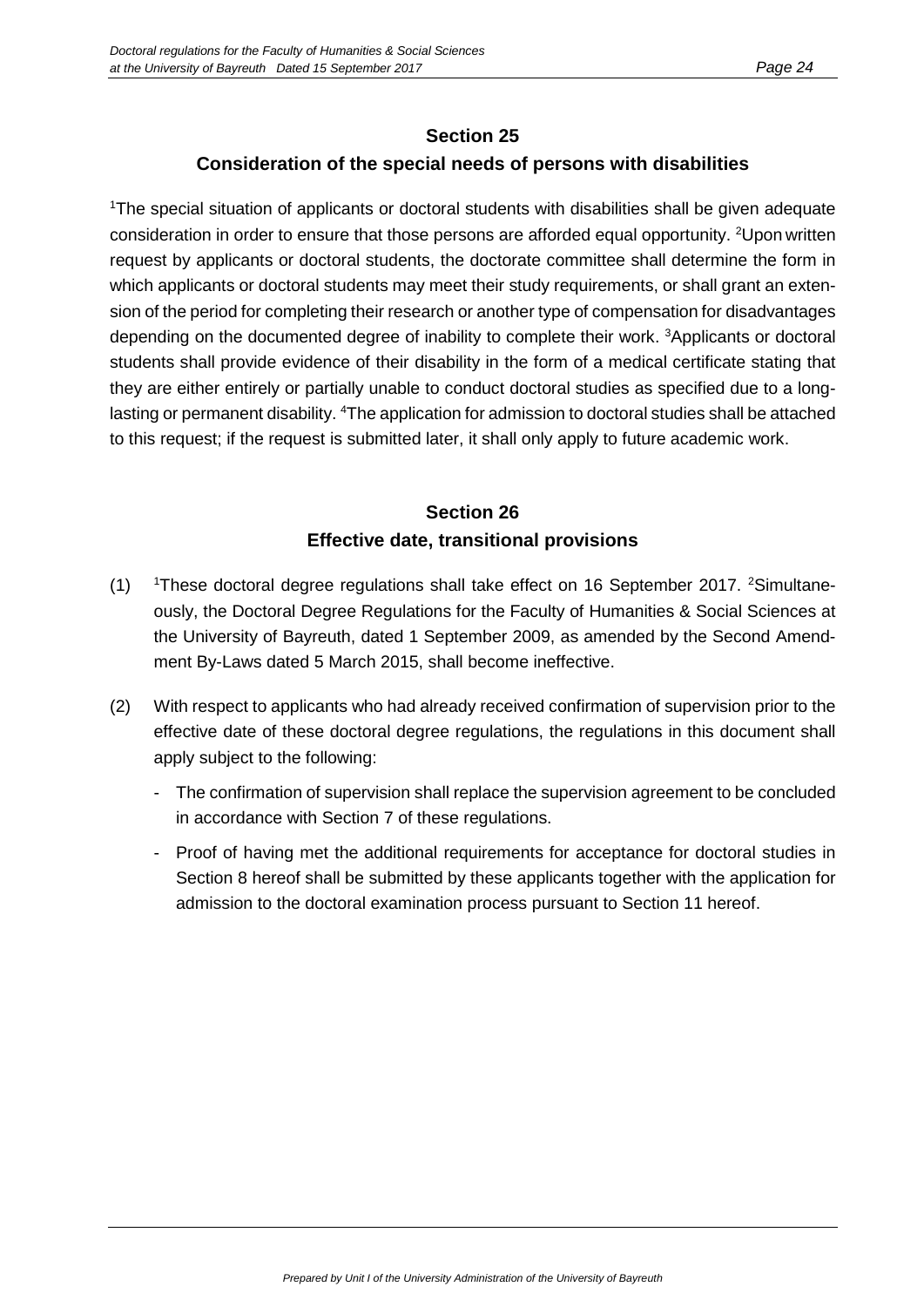#### **Section 25**

#### **Consideration of the special needs of persons with disabilities**

1 The special situation of applicants or doctoral students with disabilities shall be given adequate consideration in order to ensure that those persons are afforded equal opportunity. <sup>2</sup>Upon written request by applicants or doctoral students, the doctorate committee shall determine the form in which applicants or doctoral students may meet their study requirements, or shall grant an extension of the period for completing their research or another type of compensation for disadvantages depending on the documented degree of inability to complete their work. <sup>3</sup>Applicants or doctoral students shall provide evidence of their disability in the form of a medical certificate stating that they are either entirely or partially unable to conduct doctoral studies as specified due to a longlasting or permanent disability. <sup>4</sup>The application for admission to doctoral studies shall be attached to this request; if the request is submitted later, it shall only apply to future academic work.

## **Section 26 Effective date, transitional provisions**

- $(1)$ These doctoral degree regulations shall take effect on 16 September 2017. <sup>2</sup>Simultaneously, the Doctoral Degree Regulations for the Faculty of Humanities & Social Sciences at the University of Bayreuth, dated 1 September 2009, as amended by the Second Amendment By-Laws dated 5 March 2015, shall become ineffective.
- (2) With respect to applicants who had already received confirmation of supervision prior to the effective date of these doctoral degree regulations, the regulations in this document shall apply subject to the following:
	- The confirmation of supervision shall replace the supervision agreement to be concluded in accordance with Section 7 of these regulations.
	- Proof of having met the additional requirements for acceptance for doctoral studies in Section 8 hereof shall be submitted by these applicants together with the application for admission to the doctoral examination process pursuant to Section 11 hereof.